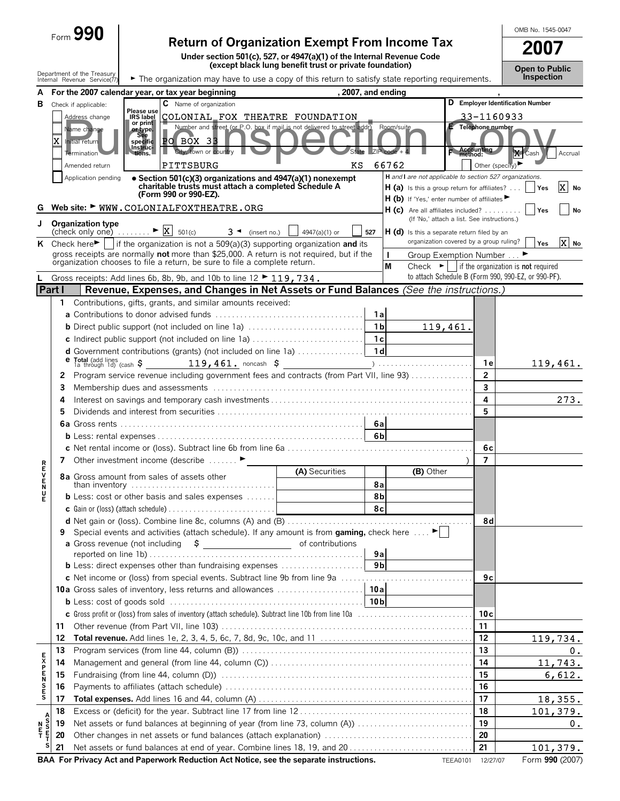|                                 |          | $_{\text{Form}}$ 990                        |                                |                                                     |                                                                                          |                                                                                                                                         |     |                    |                                                                                                    |              |                   | OMB No. 1545-0047                                                                                                        |                 |
|---------------------------------|----------|---------------------------------------------|--------------------------------|-----------------------------------------------------|------------------------------------------------------------------------------------------|-----------------------------------------------------------------------------------------------------------------------------------------|-----|--------------------|----------------------------------------------------------------------------------------------------|--------------|-------------------|--------------------------------------------------------------------------------------------------------------------------|-----------------|
|                                 |          |                                             |                                |                                                     |                                                                                          | <b>Return of Organization Exempt From Income Tax</b>                                                                                    |     |                    |                                                                                                    |              |                   | 2007                                                                                                                     |                 |
|                                 |          |                                             |                                |                                                     |                                                                                          | Under section 501(c), 527, or 4947(a)(1) of the Internal Revenue Code<br>(except black lung benefit trust or private foundation)        |     |                    |                                                                                                    |              |                   |                                                                                                                          |                 |
|                                 |          | Department of the Treasury                  |                                |                                                     |                                                                                          |                                                                                                                                         |     |                    |                                                                                                    |              |                   | <b>Open to Public</b><br>Inspection                                                                                      |                 |
|                                 |          | Internal Revenue Service(77)                |                                | A For the 2007 calendar year, or tax year beginning |                                                                                          | The organization may have to use a copy of this return to satisfy state reporting requirements.                                         |     | , 2007, and ending |                                                                                                    |              |                   |                                                                                                                          |                 |
| в                               |          | Check if applicable:                        |                                | C Name of organization                              |                                                                                          |                                                                                                                                         |     |                    |                                                                                                    |              |                   | D Employer Identification Number                                                                                         |                 |
|                                 |          | Address change                              | Please use<br><b>IRS label</b> |                                                     |                                                                                          | COLONIAL FOX THEATRE FOUNDATION                                                                                                         |     |                    |                                                                                                    |              | 33-1160933        |                                                                                                                          |                 |
|                                 |          | Name change                                 | or print<br>or type.           |                                                     |                                                                                          | Number and street (or P.O. box if mail is not delivered to street addr)                                                                 |     | Room/suite         |                                                                                                    |              | Telephone number  |                                                                                                                          |                 |
|                                 |          | Initial return                              | See<br>specific                | PO BOX 33                                           |                                                                                          |                                                                                                                                         |     |                    |                                                                                                    |              |                   |                                                                                                                          |                 |
|                                 |          | Termination                                 | Instruc-<br>tions.             | City, town or country                               |                                                                                          |                                                                                                                                         |     | $ZIP code + 4$     |                                                                                                    | F Accounting |                   | X Cash                                                                                                                   | Accrual         |
|                                 |          | Amended return                              |                                | PITTSBURG                                           |                                                                                          |                                                                                                                                         | ΚS  | 66762              |                                                                                                    |              | Other (specify)   |                                                                                                                          |                 |
|                                 |          | Application pending                         |                                |                                                     |                                                                                          | • Section 501(c)(3) organizations and 4947(a)(1) nonexempt                                                                              |     |                    | H and I are not applicable to section 527 organizations.                                           |              |                   |                                                                                                                          |                 |
|                                 |          |                                             |                                | (Form 990 or 990-EZ).                               |                                                                                          | charitable trusts must attach a completed Schedule A                                                                                    |     |                    | <b>H</b> (a) Is this a group return for affiliates?<br>$H(b)$ If 'Yes,' enter number of affiliates |              |                   | Yes                                                                                                                      | x <br>No        |
| G                               |          |                                             |                                |                                                     | Web site: WWW.COLONIALFOXTHEATRE.ORG                                                     |                                                                                                                                         |     |                    | $H(c)$ Are all affiliates included?                                                                |              |                   | Yes                                                                                                                      | No              |
| J                               |          | <b>Organization type</b>                    |                                |                                                     |                                                                                          |                                                                                                                                         |     |                    | (If 'No,' attach a list. See instructions.)                                                        |              |                   |                                                                                                                          |                 |
|                                 |          | (check only one) $\dots \dots$              |                                | $\triangleright$  X <br>501(c)                      | $3 \triangleleft$ (insert no.)                                                           | 4947(a)(1) or                                                                                                                           | 527 |                    | $H(d)$ is this a separate return filed by an                                                       |              |                   |                                                                                                                          |                 |
|                                 |          |                                             |                                |                                                     |                                                                                          | K Check here $\blacktriangleright$   if the organization is not a 509(a)(3) supporting organization and its                             |     |                    | organization covered by a group ruling?                                                            |              |                   | Yes                                                                                                                      | X No            |
|                                 |          |                                             |                                |                                                     | organization chooses to file a return, be sure to file a complete return.                | gross receipts are normally not more than \$25,000. A return is not required, but if the                                                |     | I.                 | Group Exemption Number                                                                             |              |                   |                                                                                                                          |                 |
|                                 |          |                                             |                                |                                                     | Gross receipts: Add lines 6b, 8b, 9b, and 10b to line 12 $\blacktriangleright$ 119, 734. |                                                                                                                                         |     | M                  |                                                                                                    |              |                   | Check $\blacktriangleright$   if the organization is not required<br>to attach Schedule B (Form 990, 990-EZ, or 990-PF). |                 |
| <b>Part I</b>                   |          |                                             |                                |                                                     |                                                                                          | Revenue, Expenses, and Changes in Net Assets or Fund Balances (See the instructions.)                                                   |     |                    |                                                                                                    |              |                   |                                                                                                                          |                 |
|                                 | 1.       |                                             |                                |                                                     | Contributions, gifts, grants, and similar amounts received:                              |                                                                                                                                         |     |                    |                                                                                                    |              |                   |                                                                                                                          |                 |
|                                 |          |                                             |                                |                                                     |                                                                                          |                                                                                                                                         |     | 1a                 |                                                                                                    |              |                   |                                                                                                                          |                 |
|                                 |          |                                             |                                |                                                     |                                                                                          | <b>b</b> Direct public support (not included on line 1a)                                                                                |     | 1 <sub>b</sub>     |                                                                                                    | 119,461.     |                   |                                                                                                                          |                 |
|                                 |          |                                             |                                |                                                     |                                                                                          |                                                                                                                                         |     |                    |                                                                                                    |              |                   |                                                                                                                          |                 |
|                                 |          |                                             |                                |                                                     |                                                                                          |                                                                                                                                         |     |                    |                                                                                                    |              |                   |                                                                                                                          |                 |
|                                 |          | Total (add lines<br>1a through 1d) (cash \$ |                                |                                                     |                                                                                          |                                                                                                                                         |     |                    |                                                                                                    |              | 1 e               |                                                                                                                          | 119,461.        |
|                                 | 2        |                                             |                                |                                                     |                                                                                          | Program service revenue including government fees and contracts (from Part VII, line 93)                                                |     |                    |                                                                                                    |              | $\overline{2}$    |                                                                                                                          |                 |
|                                 | 3        |                                             |                                |                                                     |                                                                                          |                                                                                                                                         |     |                    |                                                                                                    |              | 3                 |                                                                                                                          |                 |
|                                 | 4        |                                             |                                |                                                     |                                                                                          |                                                                                                                                         |     |                    |                                                                                                    |              | 4<br>5            |                                                                                                                          | 273.            |
|                                 | 5        |                                             |                                |                                                     |                                                                                          |                                                                                                                                         |     | 6а                 |                                                                                                    |              |                   |                                                                                                                          |                 |
|                                 |          |                                             |                                |                                                     |                                                                                          |                                                                                                                                         |     | 6bl                |                                                                                                    |              |                   |                                                                                                                          |                 |
|                                 |          |                                             |                                |                                                     |                                                                                          |                                                                                                                                         |     |                    |                                                                                                    |              | 6c                |                                                                                                                          |                 |
|                                 |          |                                             |                                | 7 Other investment income (describe                 |                                                                                          |                                                                                                                                         |     |                    |                                                                                                    |              | $\overline{7}$    |                                                                                                                          |                 |
| R<br>E<br>V                     |          |                                             |                                | 8a Gross amount from sales of assets other          |                                                                                          | (A) Securities                                                                                                                          |     |                    | (B) Other                                                                                          |              |                   |                                                                                                                          |                 |
| E<br>N<br>E                     |          |                                             |                                |                                                     | than inventory $\ldots \ldots \ldots \ldots \ldots \ldots \ldots \ldots \ldots \ldots$   |                                                                                                                                         |     | 8а                 |                                                                                                    |              |                   |                                                                                                                          |                 |
|                                 |          |                                             |                                |                                                     | <b>b</b> Less: cost or other basis and sales expenses $\ldots \ldots$                    |                                                                                                                                         |     | 8b                 |                                                                                                    |              |                   |                                                                                                                          |                 |
|                                 |          |                                             |                                |                                                     |                                                                                          |                                                                                                                                         |     | 8с                 |                                                                                                    |              |                   |                                                                                                                          |                 |
|                                 |          |                                             |                                |                                                     |                                                                                          |                                                                                                                                         |     |                    |                                                                                                    |              | 8d                |                                                                                                                          |                 |
|                                 | 9        |                                             |                                |                                                     |                                                                                          | Special events and activities (attach schedule). If any amount is from gaming, check here $\dots$ .                                     |     |                    |                                                                                                    |              |                   |                                                                                                                          |                 |
|                                 |          |                                             |                                |                                                     |                                                                                          |                                                                                                                                         |     | 9a                 |                                                                                                    |              |                   |                                                                                                                          |                 |
|                                 |          |                                             |                                |                                                     |                                                                                          |                                                                                                                                         |     |                    |                                                                                                    |              |                   |                                                                                                                          |                 |
|                                 |          |                                             |                                |                                                     |                                                                                          |                                                                                                                                         |     |                    |                                                                                                    |              | 9с                |                                                                                                                          |                 |
|                                 |          |                                             |                                |                                                     |                                                                                          |                                                                                                                                         |     |                    |                                                                                                    |              |                   |                                                                                                                          |                 |
|                                 |          |                                             |                                |                                                     |                                                                                          | <b>b</b> Less: cost of goods sold $\ldots \ldots \ldots \ldots \ldots \ldots \ldots \ldots \ldots \ldots \ldots \ldots \ldots \mid 10b$ |     |                    |                                                                                                    |              |                   |                                                                                                                          |                 |
|                                 |          |                                             |                                |                                                     |                                                                                          | c Gross profit or (loss) from sales of inventory (attach schedule). Subtract line 10b from line 10a                                     |     |                    |                                                                                                    |              | 10с               |                                                                                                                          |                 |
|                                 | 11       |                                             |                                |                                                     |                                                                                          |                                                                                                                                         |     |                    |                                                                                                    |              | 11<br>12          |                                                                                                                          |                 |
|                                 | 12<br>13 |                                             |                                |                                                     |                                                                                          |                                                                                                                                         |     |                    |                                                                                                    |              | 13                |                                                                                                                          | 119,734.<br>0.  |
|                                 | 14       |                                             |                                |                                                     |                                                                                          |                                                                                                                                         |     |                    |                                                                                                    |              | 14                |                                                                                                                          | 11,743.         |
| <b>EXPENSES</b>                 | 15       |                                             |                                |                                                     |                                                                                          |                                                                                                                                         |     |                    |                                                                                                    |              | 15                |                                                                                                                          | 6,612.          |
|                                 | 16       |                                             |                                |                                                     |                                                                                          |                                                                                                                                         |     |                    |                                                                                                    |              | 16                |                                                                                                                          |                 |
|                                 | 17       |                                             |                                |                                                     |                                                                                          |                                                                                                                                         |     |                    |                                                                                                    |              | 17                |                                                                                                                          | 18,355.         |
| А                               | 18       |                                             |                                |                                                     |                                                                                          |                                                                                                                                         |     |                    |                                                                                                    |              | 18                |                                                                                                                          | 101,379.        |
| S<br>S<br>F<br>T<br>N<br>F<br>T | 19       |                                             |                                |                                                     |                                                                                          | Net assets or fund balances at beginning of year (from line 73, column (A))                                                             |     |                    |                                                                                                    |              | 19                |                                                                                                                          | 0.              |
|                                 | 20       |                                             |                                |                                                     |                                                                                          |                                                                                                                                         |     |                    |                                                                                                    |              | 20                |                                                                                                                          |                 |
| s                               | 21       |                                             |                                |                                                     |                                                                                          |                                                                                                                                         |     |                    |                                                                                                    |              | 21                |                                                                                                                          | 101, 379.       |
|                                 |          |                                             |                                |                                                     |                                                                                          | BAA For Privacy Act and Paperwork Reduction Act Notice, see the separate instructions.                                                  |     |                    |                                                                                                    |              | TEEA0101 12/27/07 |                                                                                                                          | Form 990 (2007) |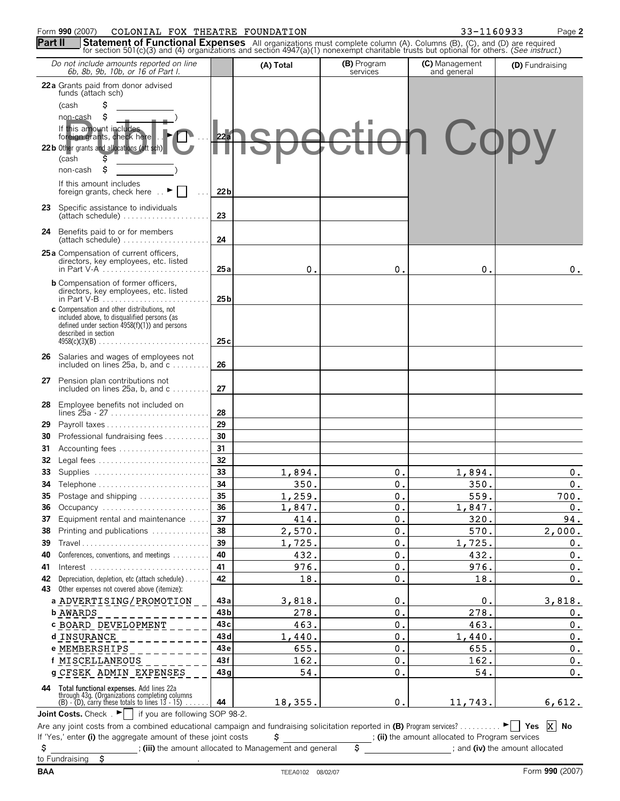#### Form **990** (2007) COLONIAL FOX THEATRE FOUNDATION 33-1160933 Page 2

*Do not include amounts reported on line 6b, 8b, 9b, 10b, or 16 of Part I.*

**(D)** Fundraising

**(C)** Management and general

**22a** Grants paid from donor advised funds (attach sch) (cash \$ non-cash \$ If this amount includes<br>foreign grants, check here **. . FOR ...** 22a **36** Occupancy . . . . . . . . . . . . . . . . . . . . . . . . . . **36 37** Equipment rental and maintenance . . . . . **37 38** Printing and publications . . . . . . . . . . . . . . **38 39** Travel . . . . . . . . . . . . . . . . . . . . . . . . . . . . . . . **39 40** Conferences, conventions, and meetings . . . . . . . . . **40 41** Interest . . . . . . . . . . . . . . . . . . . . . . . . . . . . . **41 42** Depreciation, depletion, etc (attach schedule) . . . . . . **42 43** Other expenses not covered above (itemize): **a 43a** ADVERTISING/PROMOTION **b 43b** AWARDS **c 43c** BOARD DEVELOPMENT **d 43d** INSURANCE **e 43e** MEMBERSHIPS **f 43f** MISCELLANEOUS **g 43g** CFSEK ADMIN EXPENSES **28** Employee benefits not included on lines 25a - 27 . . . . . . . . . . . . . . . . . . . . . . . . **28 29** Payroll taxes . . . . . . . . . . . . . . . . . . . . . . . . . **29 30** Professional fundraising fees . . . . . . . . . . . **30 31** Accounting fees . . . . . . . . . . . . . . . . . . . . . . **31 32** Legal fees . . . . . . . . . . . . . . . . . . . . . . . . . . . **32 33** Supplies . . . . . . . . . . . . . . . . . . . . . . . . . . . . **33 34** Telephone . . . . . . . . . . . . . . . . . . . . . . . . . . . **34 35** Postage and shipping . . . . . . . . . . . . . . . . . **35** If 'Yes,' enter (i) the aggregate amount of these joint costs  $\frac{1}{2}$  ; (ii) the amount allocated to Program services \$ ; **(iii)** the amount allocated to Management and general \$ ; and **(iv)** the amount allocated **44 Total functional expenses.** Add lines 22a through 43g. (Organizations completing columns (B) - (D), carry these totals to lines 13 - 15) . . . . . . **44** Joint Costs. Check .  $\blacktriangleright$  if you are following SOP 98-2. Are any joint costs from a combined educational campaign and fundraising solicitation reported in **(B)** Program services? . . . . . . . . . . G **Yes No 22b** Other grants and all (cash \$ non-cash \$ If this amount includes foreign grants, check here  $\therefore$   $\blacktriangleright$   $\mid$   $\mid$   $\ldots$  **22b 23** Specific assistance to individuals (attach schedule) . . . . . . . . . . . . . . . . . . . . . **23 24** Benefits paid to or for members (attach schedule) . . . . . . . . . . . . . . . . . . . . . **24 25a** Compensation of current officers, directors, key employees, etc. listed in Part V-A . . . . . . . . . . . . . . . . . . . . . . . . . . **25a b** Compensation of former officers, directors, key employees, etc. listed in Part V-B . . . . . . . . . . . . . . . . . . . . . . . . . . **25b c** Compensation and other distributions, not included above, to disqualified persons (as defined under section 4958(f)(1)) and persons described in section 4958(c)(3)(B) . . . . . . . . . . . . . . . . . . . . . . . . . . . **25c 26** Salaries and wages of employees not included on lines 25a, b, and c . . . . . . . . . **26 27** Pension plan contributions not included on lines 25a, b, and c . . . . . . . . . **27**  $0. | 0. | 0. | 0.$  $1,894.$  0. 1,894. 0. 350. 0. 350. 0.  $1,259.$   $0.$  559. 700.  $1,847.$  0.  $1,847.$  0.  $414.$  0. 320. 320. 94.  $2,570.$  |  $0.$  |  $570.$  |  $2,000.$  $1,725.$  0. 0. 1,725. 0.  $432.$  0.  $432.$  0. 976. **0.** 0. 976. **0.**  $18.$  0. 18. 0.  $18,355.$  0. 11,743. 6,612. X No 3,818. 278. 463. 1,440. 655. 162. 54. 0. 0. 0. 0. 0. 0. 0.  $\Omega$ . 278. 463. 1,440. 655. 162. 54. 3,818.  $0_{.}$ 0.  $0_{\cdot}$  $0.$  $0_{\cdot}$ 0. **Copy** 

**Part II** Statement of Functional Expenses All organizations must complete column (A). Columns (B), (C), and (D) are required for section 501(c)(3) and (4) organizations and section 4947(a)(1) nonexempt charitable trusts b

**(A) Total (B)** Program

**services**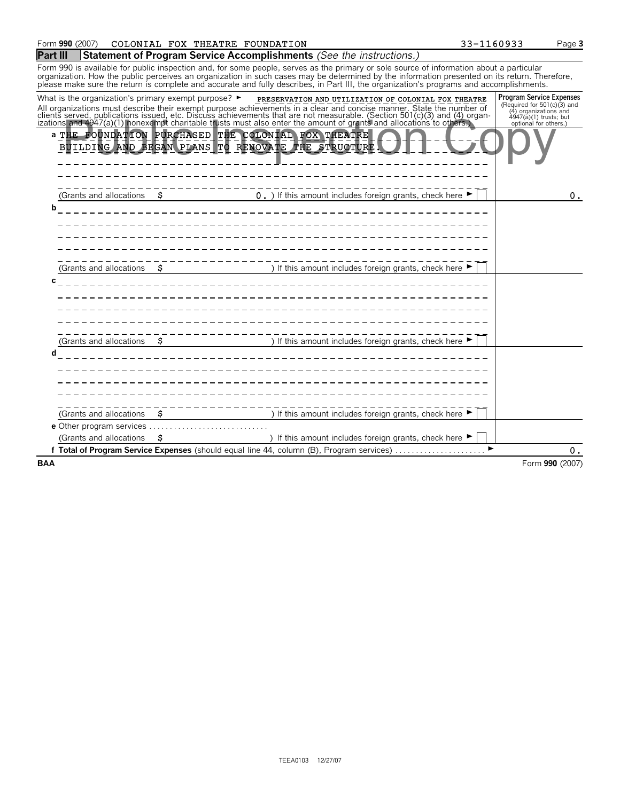| Form 990 (2007)                                                          | COLONIAL FOX THEATRE FOUNDATION                                                                                                                                                                                                                                                                                                                                                                                                      | 33-1160933 | Page 3                                                                                                                                       |
|--------------------------------------------------------------------------|--------------------------------------------------------------------------------------------------------------------------------------------------------------------------------------------------------------------------------------------------------------------------------------------------------------------------------------------------------------------------------------------------------------------------------------|------------|----------------------------------------------------------------------------------------------------------------------------------------------|
| Part III                                                                 | <b>Statement of Program Service Accomplishments</b> (See the instructions.)                                                                                                                                                                                                                                                                                                                                                          |            |                                                                                                                                              |
|                                                                          | Form 990 is available for public inspection and, for some people, serves as the primary or sole source of information about a particular<br>organization. How the public perceives an organization in such cases may be determined by the information presented on its return. Therefore,<br>please make sure the return is complete and accurate and fully describes, in Part III, the organization's programs and accomplishments. |            |                                                                                                                                              |
| What is the organization's primary exempt purpose? $\blacktriangleright$ | PRESERVATION AND UTILIZATION OF COLONIAL FOX THEATRE<br>All organizations must describe their exempt purpose achievements in a clear and concise manner. State the number of clients served, publications issued, etc. Discuss achievements that are not measurable. (Section 501(c)(                                                                                                                                                |            | <b>Program Service Expenses</b><br>(Required for 501(c)(3) and<br>(4) organizations and<br>$4947(a)(1)$ trusts; but<br>optional for others.) |
|                                                                          | a THE FOUNDATION PURCHASED THE COLONIAL FOX THEATRE<br>BUILDING AND BEGAN PLANS TO RENOVATE THE STRUCTURE.                                                                                                                                                                                                                                                                                                                           |            |                                                                                                                                              |
| (Grants and allocations<br>S.<br>b                                       | 0. ) If this amount includes foreign grants, check here $\blacktriangleright$                                                                                                                                                                                                                                                                                                                                                        |            | 0.                                                                                                                                           |
| (Grants and allocations                                                  | ) If this amount includes foreign grants, check here $\blacktriangleright$                                                                                                                                                                                                                                                                                                                                                           |            |                                                                                                                                              |
| S<br>(Grants and allocations                                             | ) If this amount includes foreign grants, check here $\blacktriangleright$                                                                                                                                                                                                                                                                                                                                                           |            |                                                                                                                                              |
|                                                                          |                                                                                                                                                                                                                                                                                                                                                                                                                                      |            |                                                                                                                                              |
| s<br>(Grants and allocations)                                            | ) If this amount includes foreign grants, check here $\blacktriangleright$                                                                                                                                                                                                                                                                                                                                                           |            |                                                                                                                                              |
| (Grants and allocations<br>s                                             | ) If this amount includes foreign grants, check here ▶                                                                                                                                                                                                                                                                                                                                                                               |            |                                                                                                                                              |
|                                                                          | f Total of Program Service Expenses (should equal line 44, column (B), Program services)                                                                                                                                                                                                                                                                                                                                             |            | 0.                                                                                                                                           |
| BAA                                                                      |                                                                                                                                                                                                                                                                                                                                                                                                                                      |            | Form 990 (2007)                                                                                                                              |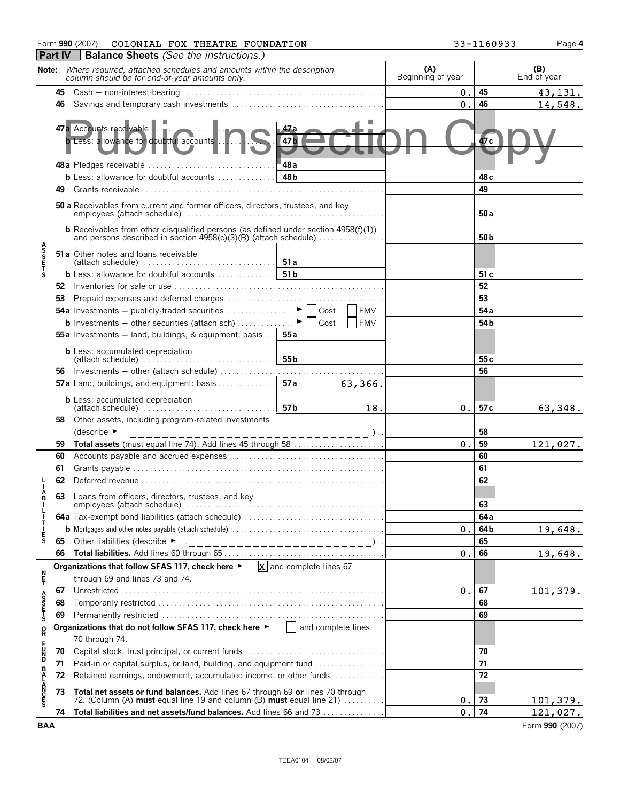# Form **990** (2007) COLONIAL FOX THEATRE FOUNDATION  $33-1160933$  Page 4

|                            | <b>Part IV</b> | <b>Balance Sheets</b> (See the instructions.)                                                                                                           |                          |                       |                    |
|----------------------------|----------------|---------------------------------------------------------------------------------------------------------------------------------------------------------|--------------------------|-----------------------|--------------------|
|                            |                | Note: Where required, attached schedules and amounts within the description<br>column should be for end-of-year amounts only.                           | (A)<br>Beginning of year |                       | (B)<br>End of year |
|                            |                |                                                                                                                                                         | О.                       | 45                    | 43, 131.           |
|                            | 46             |                                                                                                                                                         | $\mathbf 0$ .            | 46                    | 14,548.            |
|                            |                | 47a Accounts receivable<br>47 a<br><b>b</b> Less: allowance for doubtful accounts<br>47 Б<br>48a<br>48a Pledges receivable                              |                          | Фтс                   |                    |
|                            |                | 48 <sub>b</sub><br><b>b</b> Less: allowance for doubtful accounts $\ldots$ ,,,,,,,,,,,,                                                                 |                          | 48 <sub>c</sub>       |                    |
|                            | 49             |                                                                                                                                                         |                          | 49                    |                    |
|                            |                | 50 a Receivables from current and former officers, directors, trustees, and key                                                                         |                          | 50a                   |                    |
|                            |                | <b>b</b> Receivables from other disqualified persons (as defined under section $4958(f)(1)$ )                                                           |                          | 50 <sub>b</sub>       |                    |
| <b>ASSET</b>               |                | <b>51a</b> Other notes and loans receivable                                                                                                             |                          |                       |                    |
| S                          |                | 51 <sub>b</sub><br><b>b</b> Less: allowance for doubtful accounts $\ldots$                                                                              |                          | 51 c                  |                    |
|                            |                |                                                                                                                                                         |                          | 52                    |                    |
|                            |                |                                                                                                                                                         |                          | 53                    |                    |
|                            |                | <b>FMV</b><br><b>54a</b> Investments – publicly-traded securities $\ldots$ $\ldots$ $\ldots$<br>Cost                                                    |                          | 54a                   |                    |
|                            |                | <b>b</b> Investments - other securities (attach sch)<br><b>FMV</b><br>Cost                                                                              |                          | 54 <sub>b</sub>       |                    |
|                            |                | <b>55a</b> Investments – land, buildings, & equipment: basis $\therefore$ <b>55a</b><br><b>b</b> Less: accumulated depreciation<br>55 <sub>b</sub>      |                          |                       |                    |
|                            |                | Investments - other (attach schedule)                                                                                                                   |                          | 55 <sub>c</sub><br>56 |                    |
|                            | 56             | 57a<br><b>57a</b> Land, buildings, and equipment: basis<br>63,366.                                                                                      |                          |                       |                    |
|                            |                |                                                                                                                                                         |                          |                       |                    |
|                            |                | <b>b</b> Less: accumulated depreciation<br>57 <sub>b</sub><br>18.<br>$\mathsf{l}$ (attach schedule) $\ldots \ldots \ldots \ldots \ldots \ldots \ldots$  | 0.                       | 57c                   | 63,348.            |
|                            | 58             | Other assets, including program-related investments                                                                                                     |                          |                       |                    |
|                            |                | (describe $\blacktriangleright$                                                                                                                         | 0.                       | 58<br>59              |                    |
|                            | 59<br>60       | Total assets (must equal line 74). Add lines 45 through 58                                                                                              |                          | 60                    | 121,027.           |
|                            | 61             |                                                                                                                                                         |                          | 61                    |                    |
|                            | 62             |                                                                                                                                                         |                          | 62                    |                    |
| A<br>B                     |                |                                                                                                                                                         |                          |                       |                    |
|                            | 63             | Loans from officers, directors, trustees, and key                                                                                                       |                          | 63                    |                    |
|                            |                |                                                                                                                                                         |                          | 64a                   |                    |
| Ť                          |                |                                                                                                                                                         | 0.                       | 64b                   | 19,648.            |
| Ė<br>S                     | 65             | Other liabilities (describe $\blacktriangleright$<br>_____________________) <sub>.</sub>                                                                |                          | 65                    |                    |
|                            | 66             |                                                                                                                                                         | 0.                       | 66                    | 19,648.            |
|                            |                | $X$ and complete lines 67<br>Organizations that follow SFAS 117, check here ►                                                                           |                          |                       |                    |
| n<br>F                     |                | through 69 and lines 73 and 74.                                                                                                                         |                          |                       |                    |
|                            | 67             |                                                                                                                                                         | 0.                       | 67                    | 101,379.           |
| A<br>S<br>T<br>S<br>T<br>S | 68             |                                                                                                                                                         |                          | 68                    |                    |
|                            | 69             | Organizations that do not follow SFAS 117, check here $\blacktriangleright$ $\Box$ and complete lines                                                   |                          | 69                    |                    |
| R                          |                | 70 through 74.                                                                                                                                          |                          |                       |                    |
| F<br>D<br>D<br>D           | 70             |                                                                                                                                                         |                          | 70                    |                    |
|                            | 71             | Paid-in or capital surplus, or land, building, and equipment fund                                                                                       |                          | 71                    |                    |
|                            | 72             | Retained earnings, endowment, accumulated income, or other funds                                                                                        |                          | 72                    |                    |
| <b>BALANCES</b>            | 73             | Total net assets or fund balances. Add lines 67 through 69 or lines 70 through<br>72. (Column (A) must equal line 19 and column (B) must equal line 21) | О.                       | 73                    | 101,379.           |
|                            | 74             | Total liabilities and net assets/fund balances. Add lines 66 and 73                                                                                     | $\mathbf 0$ .            | 74                    | 121,027.           |
| <b>BAA</b>                 |                |                                                                                                                                                         |                          |                       | Form 990 (2007)    |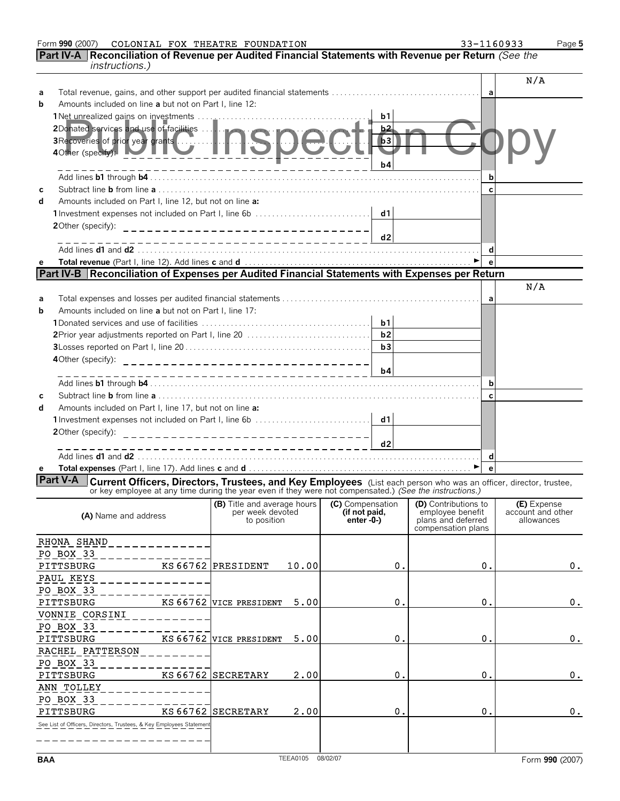| Form 990 (2007) | COLONIAL | FOX THEATRE FOUNDATION | 33-1160933 | Page 5 |
|-----------------|----------|------------------------|------------|--------|

**Part IV-A Reconciliation of Revenue per Audited Financial Statements with Revenue per Return** *(See the instructions.)*

|            |                                                                                                                                                                                                                                  |                                                 |                   |                                   |                |                                          |                   | N/A                              |
|------------|----------------------------------------------------------------------------------------------------------------------------------------------------------------------------------------------------------------------------------|-------------------------------------------------|-------------------|-----------------------------------|----------------|------------------------------------------|-------------------|----------------------------------|
| a<br>b     | Amounts included on line a but not on Part I. line 12:                                                                                                                                                                           |                                                 |                   |                                   |                |                                          | a                 |                                  |
|            |                                                                                                                                                                                                                                  |                                                 |                   |                                   | b <sub>1</sub> |                                          |                   |                                  |
|            |                                                                                                                                                                                                                                  |                                                 |                   |                                   | b2             |                                          |                   |                                  |
|            |                                                                                                                                                                                                                                  |                                                 |                   |                                   | b3             |                                          |                   |                                  |
|            | 2Donated services and use of facilities<br>3Recoveries of prior year grants<br>40ther (specify):                                                                                                                                 |                                                 |                   |                                   |                |                                          |                   |                                  |
|            |                                                                                                                                                                                                                                  |                                                 |                   |                                   | b4             |                                          |                   |                                  |
|            |                                                                                                                                                                                                                                  |                                                 |                   |                                   |                |                                          | b                 |                                  |
| C          |                                                                                                                                                                                                                                  |                                                 |                   |                                   |                |                                          | $\mathbf{c}$      |                                  |
| d          | Amounts included on Part I, line 12, but not on line a:                                                                                                                                                                          |                                                 |                   |                                   |                |                                          |                   |                                  |
|            | 1 Investment expenses not included on Part I, line 6b                                                                                                                                                                            |                                                 |                   |                                   | d1             |                                          |                   |                                  |
|            | 2Other (specify):<br>_________________________________                                                                                                                                                                           |                                                 |                   |                                   |                |                                          |                   |                                  |
|            |                                                                                                                                                                                                                                  |                                                 |                   |                                   | d2             |                                          |                   |                                  |
|            |                                                                                                                                                                                                                                  |                                                 |                   |                                   |                |                                          | d<br>$\mathbf{e}$ |                                  |
| e          | Part IV-B   Reconciliation of Expenses per Audited Financial Statements with Expenses per Return                                                                                                                                 |                                                 |                   |                                   |                |                                          |                   |                                  |
|            |                                                                                                                                                                                                                                  |                                                 |                   |                                   |                |                                          |                   | N/A                              |
| a          |                                                                                                                                                                                                                                  |                                                 |                   |                                   |                |                                          | a                 |                                  |
| b          | Amounts included on line a but not on Part I. line 17:                                                                                                                                                                           |                                                 |                   |                                   |                |                                          |                   |                                  |
|            |                                                                                                                                                                                                                                  |                                                 |                   |                                   | b1             |                                          |                   |                                  |
|            |                                                                                                                                                                                                                                  |                                                 |                   |                                   | b2             |                                          |                   |                                  |
|            |                                                                                                                                                                                                                                  |                                                 |                   |                                   | b3             |                                          |                   |                                  |
|            | 4Other (specify):<br>__________________________________                                                                                                                                                                          |                                                 |                   |                                   |                |                                          |                   |                                  |
|            |                                                                                                                                                                                                                                  | ----------------------------                    |                   |                                   | b4             |                                          |                   |                                  |
|            |                                                                                                                                                                                                                                  |                                                 |                   |                                   |                |                                          | b                 |                                  |
| c          |                                                                                                                                                                                                                                  |                                                 |                   |                                   |                |                                          | $\mathbf c$       |                                  |
| d          | Amounts included on Part I, line 17, but not on line a:                                                                                                                                                                          |                                                 |                   |                                   |                |                                          |                   |                                  |
|            | 1 Investment expenses not included on Part I, line 6b                                                                                                                                                                            |                                                 |                   |                                   | d1             |                                          |                   |                                  |
|            | 20ther (specify):<br>_________________________________                                                                                                                                                                           |                                                 |                   |                                   | d2             |                                          |                   |                                  |
|            |                                                                                                                                                                                                                                  |                                                 |                   |                                   |                |                                          | d                 |                                  |
| е          |                                                                                                                                                                                                                                  |                                                 |                   |                                   |                |                                          | $\mathbf{e}$      |                                  |
|            | Part V-A                                                                                                                                                                                                                         |                                                 |                   |                                   |                |                                          |                   |                                  |
|            | <b>Current Officers, Directors, Trustees, and Key Employees</b> (List each person who was an officer, director, trustee, or key employee at any time during the year even if they were not compensated.) (See the instructions.) |                                                 |                   |                                   |                |                                          |                   |                                  |
|            |                                                                                                                                                                                                                                  | (B) Title and average hours<br>per week devoted |                   | (C) Compensation<br>(if not paid, |                | (D) Contributions to<br>employee benefit |                   | (E) Expense<br>account and other |
|            | (A) Name and address                                                                                                                                                                                                             | to position                                     |                   | enter $-0$ - $)$                  |                | plans and deferred                       |                   | allowances                       |
|            |                                                                                                                                                                                                                                  |                                                 |                   |                                   |                | compensation plans                       |                   |                                  |
|            | RHONA SHAND                                                                                                                                                                                                                      |                                                 |                   |                                   |                |                                          |                   |                                  |
|            | PO BOX 33                                                                                                                                                                                                                        | KS 66762 PRESIDENT                              |                   |                                   |                |                                          |                   |                                  |
|            | PITTSBURG<br>PAUL KEYS                                                                                                                                                                                                           |                                                 | 10.00             |                                   | 0.             | Ο.                                       |                   | 0.                               |
|            | PO BOX 33                                                                                                                                                                                                                        |                                                 |                   |                                   |                |                                          |                   |                                  |
|            | KS 66762<br>PITTSBURG                                                                                                                                                                                                            | VICE PRESIDENT                                  | 5.00              |                                   | 0.             | Ο.                                       |                   | 0.                               |
|            | VONNIE CORSINI                                                                                                                                                                                                                   |                                                 |                   |                                   |                |                                          |                   |                                  |
|            | PO BOX 33                                                                                                                                                                                                                        |                                                 |                   |                                   |                |                                          |                   |                                  |
|            | PITTSBURG<br>KS 66762                                                                                                                                                                                                            | <b>VICE PRESIDENT</b>                           | 5.00              |                                   | 0.             | Ο.                                       |                   | 0.                               |
|            | RACHEL PATTERSON                                                                                                                                                                                                                 |                                                 |                   |                                   |                |                                          |                   |                                  |
|            | PO BOX 33                                                                                                                                                                                                                        |                                                 |                   |                                   |                |                                          |                   |                                  |
|            | PITTSBURG                                                                                                                                                                                                                        | KS 66762 SECRETARY                              | 2.00              |                                   | 0.             | Ο.                                       |                   | 0.                               |
|            | ANN TOLLEY                                                                                                                                                                                                                       |                                                 |                   |                                   |                |                                          |                   |                                  |
|            | PO BOX 33                                                                                                                                                                                                                        |                                                 |                   |                                   |                |                                          |                   |                                  |
|            | KS 66762<br>PITTSBURG                                                                                                                                                                                                            | <b>SECRETARY</b>                                | 2.00              |                                   | 0.             | Ο.                                       |                   | $\mathsf{o}$ .                   |
|            | See List of Officers, Directors, Trustees, & Key Employees Statemen                                                                                                                                                              |                                                 |                   |                                   |                |                                          |                   |                                  |
|            |                                                                                                                                                                                                                                  |                                                 |                   |                                   |                |                                          |                   |                                  |
| <b>BAA</b> |                                                                                                                                                                                                                                  |                                                 | TEEA0105 08/02/07 |                                   |                |                                          |                   | Form 990 (2007)                  |
|            |                                                                                                                                                                                                                                  |                                                 |                   |                                   |                |                                          |                   |                                  |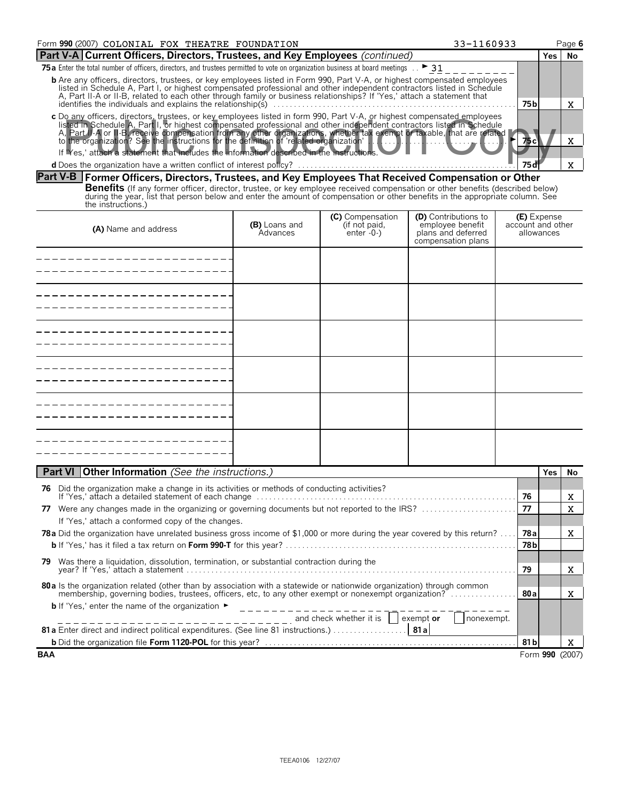| Form 990 (2007) COLONIAL FOX THEATRE FOUNDATION                                                                                                                                                                                                                                                                                                                                      | 33-1160933      |       | Page 6 |
|--------------------------------------------------------------------------------------------------------------------------------------------------------------------------------------------------------------------------------------------------------------------------------------------------------------------------------------------------------------------------------------|-----------------|-------|--------|
| Part V-A Current Officers, Directors, Trustees, and Key Employees (continued)                                                                                                                                                                                                                                                                                                        |                 | Yes l | No     |
| 75 a Enter the total number of officers, directors, and trustees permitted to vote on organization business at board meetings $\therefore$ > 31                                                                                                                                                                                                                                      |                 |       |        |
| <b>b</b> Are any officers, directors, trustees, or key employees listed in Form 990, Part V-A, or highest compensated employees<br>listed in Schedule A, Part I, or highest compensated professional and other independent contractors listed in Schedule<br>A, Part II-A or II-B, related to each other through family or business relationships? If 'Yes,' attach a statement that |                 |       |        |
| identifies the individuals and explains the relationship( $\zeta$ )                                                                                                                                                                                                                                                                                                                  | 75 <sub>b</sub> |       |        |
| c Do any officers, directors, trustees, or key employees listed in form 990, Part V-A, or highest compensated employees<br>listed in Schedule A, Part I, or highest compensated professional and other independent contractors listed in Schedule<br>A, Part II-A or II-B, receive compensation from any other organizations, whether tax exempt or taxable, that are related        |                 |       |        |
| If Yes,' attach a statement that includes the information described in the instructions.                                                                                                                                                                                                                                                                                             |                 |       |        |
|                                                                                                                                                                                                                                                                                                                                                                                      |                 |       |        |

### **Part V-B Former Officers, Directors, Trustees, and Key Employees That Received Compensation or Other**

**Benefits** (If any former officer, director, trustee, or key employee received compensation or other benefits (described below)<br>during the year, list that person below and enter the amount of compensation or other benefits the instructions.)

| (A) Name and address | (B) Loans and<br>Advances | <b>(C)</b> Compensation<br>(if not paid,<br>enter -0-) | <b>(D)</b> Contributions to<br>employee benefit<br>plans and deferred<br>compensation plans | <b>(E)</b> Expense<br>account and other<br>allowances |
|----------------------|---------------------------|--------------------------------------------------------|---------------------------------------------------------------------------------------------|-------------------------------------------------------|
|                      |                           |                                                        |                                                                                             |                                                       |
|                      |                           |                                                        |                                                                                             |                                                       |
|                      |                           |                                                        |                                                                                             |                                                       |
|                      |                           |                                                        |                                                                                             |                                                       |
|                      |                           |                                                        |                                                                                             |                                                       |
|                      |                           |                                                        |                                                                                             |                                                       |

| <b>Part VI Other Information</b> (See the instructions.)                                                                                                       |       | Yes | No.             |
|----------------------------------------------------------------------------------------------------------------------------------------------------------------|-------|-----|-----------------|
| Did the organization make a change in its activities or methods of conducting activities?<br>76                                                                |       |     |                 |
|                                                                                                                                                                | 76    |     | x               |
| Were any changes made in the organizing or governing documents but not reported to the IRS?<br>77                                                              | 77    |     | x.              |
| If 'Yes,' attach a conformed copy of the changes.                                                                                                              |       |     |                 |
| <b>78a</b> Did the organization have unrelated business gross income of \$1,000 or more during the year covered by this return?                                | 78al  |     | X               |
|                                                                                                                                                                | 78 b  |     |                 |
| Was there a liquidation, dissolution, termination, or substantial contraction during the<br>79                                                                 |       |     |                 |
|                                                                                                                                                                | 79    |     | X.              |
| 80 a ls the organization related (other than by association with a statewide or nationwide organization) through common                                        |       |     |                 |
| membership, governing bodies, trustees, officers, etc, to any other exempt or nonexempt organization?                                                          | 80 al |     | x               |
| <b>b</b> If 'Yes,' enter the name of the organization $\blacktriangleright$                                                                                    |       |     |                 |
| $\frac{1}{1}$ = $\frac{1}{1}$ = $\frac{1}{1}$ = $\frac{1}{1}$ = $\frac{1}{1}$ = $\frac{1}{1}$ and check whether it is $\frac{1}{1}$<br>exempt or<br>nonexempt. |       |     |                 |
|                                                                                                                                                                |       |     |                 |
|                                                                                                                                                                | 81 bl |     | X               |
| <b>BAA</b>                                                                                                                                                     |       |     | Form 990 (2007) |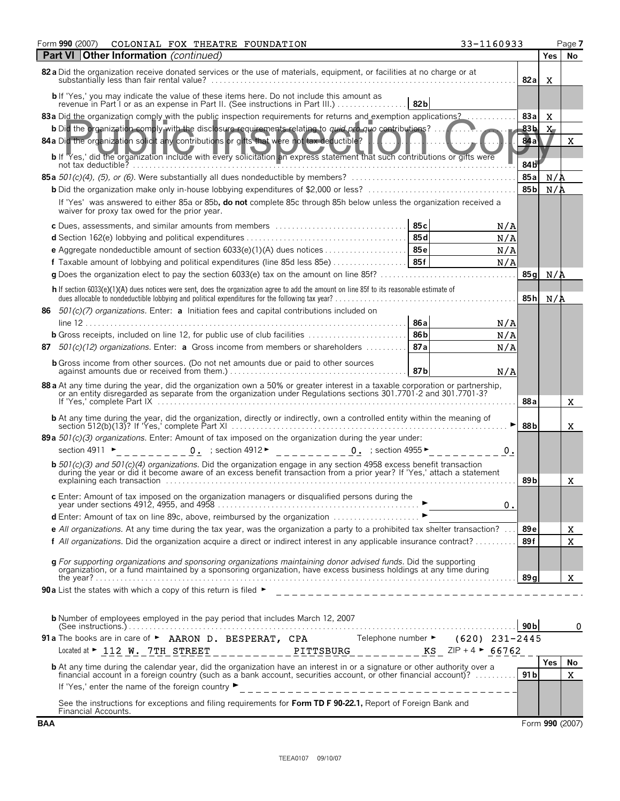| 33-1160933<br>Form <b>990</b> (2007)<br>COLONIAL FOX THEATRE FOUNDATION                                                                                                                                                                                   |                 |                 | Page 7 |
|-----------------------------------------------------------------------------------------------------------------------------------------------------------------------------------------------------------------------------------------------------------|-----------------|-----------------|--------|
| <b>Part VI Other Information</b> (continued)                                                                                                                                                                                                              |                 | Yes             | No     |
| 82 a Did the organization receive donated services or the use of materials, equipment, or facilities at no charge or at                                                                                                                                   | 82a             | X               |        |
| b If 'Yes,' you may indicate the value of these items here. Do not include this amount as<br>revenue in Part I or as an expense in Part II. (See instructions in Part III.)<br>82 <sub>b</sub>                                                            |                 |                 |        |
| 83 a Did the organization comply with the public inspection requirements for returns and exemption applications?                                                                                                                                          | 83a             | X               |        |
| <b>b</b> Did the organization comply with the disclosure requirements relating to <i>quid pro-quo</i> contributions?                                                                                                                                      | 83b             | $X_{-}$         |        |
| 84 a Did the organization solicit any contributions or gifts that were not tax deductible?<br>b If 'Yes,' did the organization include with every solicitation an express statement that such contributions or gifts were                                 | 84a             |                 | x      |
| not tax deductible? $\ldots, \ldots, \ldots, \ldots, \ldots, \ldots, \ldots$                                                                                                                                                                              | 84b<br>85a      | N/A             |        |
|                                                                                                                                                                                                                                                           | 85b             | N/A             |        |
| If 'Yes' was answered to either 85a or 85b, do not complete 85c through 85h below unless the organization received a                                                                                                                                      |                 |                 |        |
| waiver for proxy tax owed for the prior year.                                                                                                                                                                                                             |                 |                 |        |
| 85с<br>c Dues, assessments, and similar amounts from members<br>N/A                                                                                                                                                                                       |                 |                 |        |
| 85 d<br>N/A                                                                                                                                                                                                                                               |                 |                 |        |
| <b>e</b> Aggregate nondeductible amount of section $6033(e)(1)(A)$ dues notices 85e<br>N/A                                                                                                                                                                |                 |                 |        |
| N/A                                                                                                                                                                                                                                                       |                 |                 |        |
|                                                                                                                                                                                                                                                           | 85q             | N/A             |        |
| h If section 6033(e)(1)(A) dues notices were sent, does the organization agree to add the amount on line 85f to its reasonable estimate of                                                                                                                | 85h             | N/A             |        |
| 86 501(c)(7) organizations. Enter: a Initiation fees and capital contributions included on                                                                                                                                                                |                 |                 |        |
| 86 a<br>N/A                                                                                                                                                                                                                                               |                 |                 |        |
| <b>b</b> Gross receipts, included on line 12, for public use of club facilities<br>86 <sub>b</sub><br>N/A                                                                                                                                                 |                 |                 |        |
| 87a<br>87 $501(c)(12)$ organizations. Enter: a Gross income from members or shareholders<br>N/A                                                                                                                                                           |                 |                 |        |
| <b>b</b> Gross income from other sources. (Do not net amounts due or paid to other sources<br>87b<br>N/A                                                                                                                                                  |                 |                 |        |
| 88 a At any time during the year, did the organization own a 50% or greater interest in a taxable corporation or partnership, or an entity disregarded as separate from the organization under Regulations sections 301.7701-2                            |                 |                 |        |
|                                                                                                                                                                                                                                                           | 88a             |                 | x      |
|                                                                                                                                                                                                                                                           |                 |                 |        |
| <b>b</b> At any time during the year, did the organization, directly or indirectly, own a controlled entity within the meaning of                                                                                                                         | 88b             |                 | X.     |
| 89 a $501(c)(3)$ organizations. Enter: Amount of tax imposed on the organization during the year under:                                                                                                                                                   |                 |                 |        |
| 0. ; section 4912 ► _ _ _ _ _ _ _ _ _ _ 0. ; section 4955 ►<br>section 4911 $\blacktriangleright$<br>and a string of<br>0.                                                                                                                                |                 |                 |        |
| <b>b</b> $501(c)(3)$ and $501(c)(4)$ organizations. Did the organization engage in any section 4958 excess benefit transaction<br>during the year or did it become aware of an excess benefit transaction from a prior year? If 'Yes,' attach a statement | 89b             |                 | x      |
|                                                                                                                                                                                                                                                           |                 |                 |        |
| c Enter: Amount of tax imposed on the organization managers or disqualified persons during the<br>year under sections 4912, 4955, and 4958<br>0.                                                                                                          |                 |                 |        |
| d Enter: Amount of tax on line 89c, above, reimbursed by the organization                                                                                                                                                                                 |                 |                 |        |
| <b>e</b> All organizations. At any time during the tax year, was the organization a party to a prohibited tax shelter transaction? $\ldots$                                                                                                               | 89 <sub>e</sub> |                 | X      |
| f All organizations. Did the organization acquire a direct or indirect interest in any applicable insurance contract?                                                                                                                                     | 89f             |                 | X      |
| g For supporting organizations and sponsoring organizations maintaining donor advised funds. Did the supporting                                                                                                                                           |                 |                 |        |
| organization, or a fund maintained by a sponsoring organization, have excess business holdings at any time during                                                                                                                                         |                 |                 |        |
|                                                                                                                                                                                                                                                           | 89 a            |                 | X      |
|                                                                                                                                                                                                                                                           |                 |                 |        |
| <b>b</b> Number of employees employed in the pay period that includes March 12, 2007                                                                                                                                                                      | 90 <sub>b</sub> |                 | 0      |
| 91a The books are in care of ► AARON D. BESPERAT, CPA Telephone number ► (620) 231-2445                                                                                                                                                                   |                 |                 |        |
| Located at $\triangleright$ 112 W. 7TH STREET __________PITTSBURG _______<br>$KS$ ZIP + 4 $\blacktriangleright$ 66762                                                                                                                                     |                 |                 |        |
| <b>b</b> At any time during the calendar year, did the organization have an interest in or a signature or other authority over a                                                                                                                          |                 | <b>Yes</b>      | No     |
| financial account in a foreign country (such as a bank account, securities account, or other financial account)?                                                                                                                                          | 91 b            |                 | X      |
|                                                                                                                                                                                                                                                           |                 |                 |        |
| See the instructions for exceptions and filing requirements for Form TD F 90-22.1, Report of Foreign Bank and                                                                                                                                             |                 |                 |        |
| Financial Accounts.<br><b>BAA</b>                                                                                                                                                                                                                         |                 | Form 990 (2007) |        |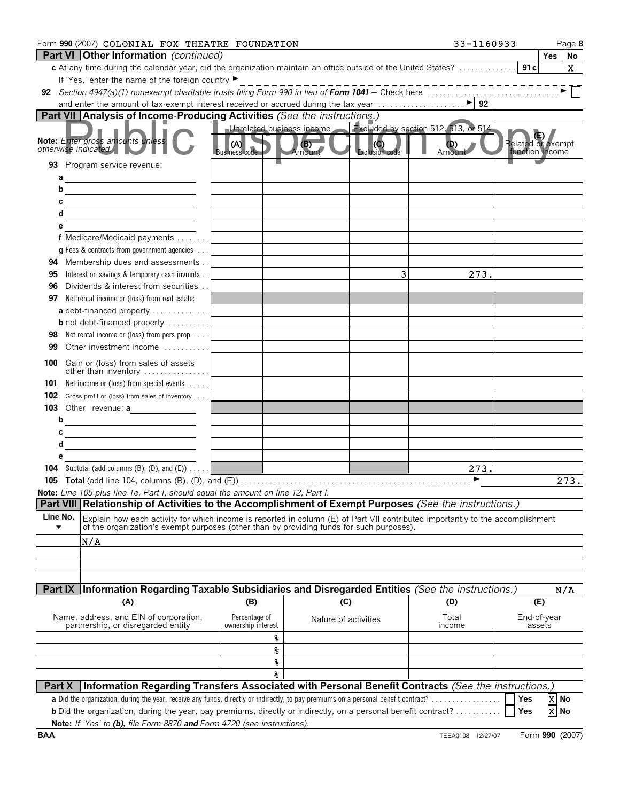|                                     | Form 990 (2007) COLONIAL FOX THEATRE FOUNDATION                                                                                                                                                                            |                                     |                           |                | 33-1160933                           | Page 8                               |
|-------------------------------------|----------------------------------------------------------------------------------------------------------------------------------------------------------------------------------------------------------------------------|-------------------------------------|---------------------------|----------------|--------------------------------------|--------------------------------------|
|                                     | <b>Part VI   Other Information</b> (continued)                                                                                                                                                                             |                                     |                           |                |                                      | Yes   No                             |
|                                     |                                                                                                                                                                                                                            |                                     |                           |                |                                      | X.                                   |
|                                     | If 'Yes,' enter the name of the foreign country ▶                                                                                                                                                                          |                                     |                           |                | _ _ _ _ _ _ _ _ _ _ _ _ _ _ _ _ _    |                                      |
|                                     |                                                                                                                                                                                                                            |                                     |                           |                |                                      |                                      |
|                                     | Part VII Analysis of Income Producing Activities (See the instructions.)                                                                                                                                                   |                                     |                           |                |                                      |                                      |
|                                     |                                                                                                                                                                                                                            |                                     | Unrelated business income |                | Excluded by section 512, 513, or 514 |                                      |
|                                     | Note: Enter gross amounts unless<br>otherwise indicated.                                                                                                                                                                   | (A)<br><b>Business code</b>         | (B)<br>Amount             | Exclusion code | (D)<br>Amount                        | Related or exempt<br>function income |
|                                     | 93 Program service revenue:                                                                                                                                                                                                |                                     |                           |                |                                      |                                      |
| b                                   |                                                                                                                                                                                                                            |                                     |                           |                |                                      |                                      |
| C                                   |                                                                                                                                                                                                                            |                                     |                           |                |                                      |                                      |
| d                                   |                                                                                                                                                                                                                            |                                     |                           |                |                                      |                                      |
| е                                   |                                                                                                                                                                                                                            |                                     |                           |                |                                      |                                      |
|                                     | f Medicare/Medicaid payments                                                                                                                                                                                               |                                     |                           |                |                                      |                                      |
|                                     | <b>g</b> Fees & contracts from government agencies $\ldots$                                                                                                                                                                |                                     |                           |                |                                      |                                      |
| 94                                  | Membership dues and assessments                                                                                                                                                                                            |                                     |                           |                |                                      |                                      |
| 95                                  | Interest on savings & temporary cash invmnts                                                                                                                                                                               |                                     |                           | 3              | 273.                                 |                                      |
| 96                                  | Dividends & interest from securities                                                                                                                                                                                       |                                     |                           |                |                                      |                                      |
| 97                                  | Net rental income or (loss) from real estate:                                                                                                                                                                              |                                     |                           |                |                                      |                                      |
|                                     | a debt-financed property                                                                                                                                                                                                   |                                     |                           |                |                                      |                                      |
| 98                                  | <b>b</b> not debt-financed property<br>Net rental income or (loss) from pers prop                                                                                                                                          |                                     |                           |                |                                      |                                      |
| 99                                  | Other investment income                                                                                                                                                                                                    |                                     |                           |                |                                      |                                      |
| 100                                 | Gain or (loss) from sales of assets                                                                                                                                                                                        |                                     |                           |                |                                      |                                      |
| 101                                 | other than inventory<br>Net income or (loss) from special events                                                                                                                                                           |                                     |                           |                |                                      |                                      |
| 102                                 | Gross profit or (loss) from sales of inventory                                                                                                                                                                             |                                     |                           |                |                                      |                                      |
|                                     | 103 Other revenue: a                                                                                                                                                                                                       |                                     |                           |                |                                      |                                      |
| b                                   | <u> The Communication of the Communication of the Communication of the Communication of the Communication of the Co</u>                                                                                                    |                                     |                           |                |                                      |                                      |
| c                                   |                                                                                                                                                                                                                            |                                     |                           |                |                                      |                                      |
| d                                   |                                                                                                                                                                                                                            |                                     |                           |                |                                      |                                      |
| е                                   |                                                                                                                                                                                                                            |                                     |                           |                |                                      |                                      |
|                                     | <b>104</b> Subtotal (add columns $(B)$ , $(D)$ , and $(E)$ ) $\ldots$ .                                                                                                                                                    |                                     |                           |                | 273.                                 |                                      |
|                                     |                                                                                                                                                                                                                            |                                     |                           |                |                                      | 273.                                 |
|                                     | Note: Line 105 plus line 1e, Part I, should equal the amount on line 12, Part I.                                                                                                                                           |                                     |                           |                |                                      |                                      |
|                                     | Part VIII Relationship of Activities to the Accomplishment of Exempt Purposes (See the instructions.)                                                                                                                      |                                     |                           |                |                                      |                                      |
| Line No.<br>$\overline{\textbf{v}}$ | Explain how each activity for which income is reported in column (E) of Part VII contributed importantly to the accomplishment<br>of the organization's exempt purposes (other than by providing funds for such purposes). |                                     |                           |                |                                      |                                      |
|                                     | N/A                                                                                                                                                                                                                        |                                     |                           |                |                                      |                                      |
|                                     |                                                                                                                                                                                                                            |                                     |                           |                |                                      |                                      |
|                                     |                                                                                                                                                                                                                            |                                     |                           |                |                                      |                                      |
|                                     |                                                                                                                                                                                                                            |                                     |                           |                |                                      |                                      |
|                                     | Part IX Information Regarding Taxable Subsidiaries and Disregarded Entities (See the instructions.)                                                                                                                        |                                     |                           |                |                                      | N/A                                  |
|                                     | (A)                                                                                                                                                                                                                        | (B)                                 | (C)                       |                | (D)                                  | (E)                                  |
|                                     | Name, address, and EIN of corporation,<br>partnership, or disregarded entity                                                                                                                                               | Percentage of<br>ownership interest | Nature of activities      |                | Total<br>income                      | End-of-year<br>assets                |
|                                     |                                                                                                                                                                                                                            | ୫                                   |                           |                |                                      |                                      |
|                                     |                                                                                                                                                                                                                            | g                                   |                           |                |                                      |                                      |
|                                     |                                                                                                                                                                                                                            | g                                   |                           |                |                                      |                                      |
|                                     |                                                                                                                                                                                                                            | 옹                                   |                           |                |                                      |                                      |
| Part X                              | Information Regarding Transfers Associated with Personal Benefit Contracts (See the instructions.)                                                                                                                         |                                     |                           |                |                                      |                                      |
|                                     | a Did the organization, during the year, receive any funds, directly or indirectly, to pay premiums on a personal benefit contract?.                                                                                       |                                     |                           |                |                                      | X No<br>Yes                          |
|                                     | <b>b</b> Did the organization, during the year, pay premiums, directly or indirectly, on a personal benefit contract?<br>Note: If 'Yes' to (b), file Form 8870 and Form 4720 (see instructions).                           |                                     |                           |                |                                      | X No<br>Yes                          |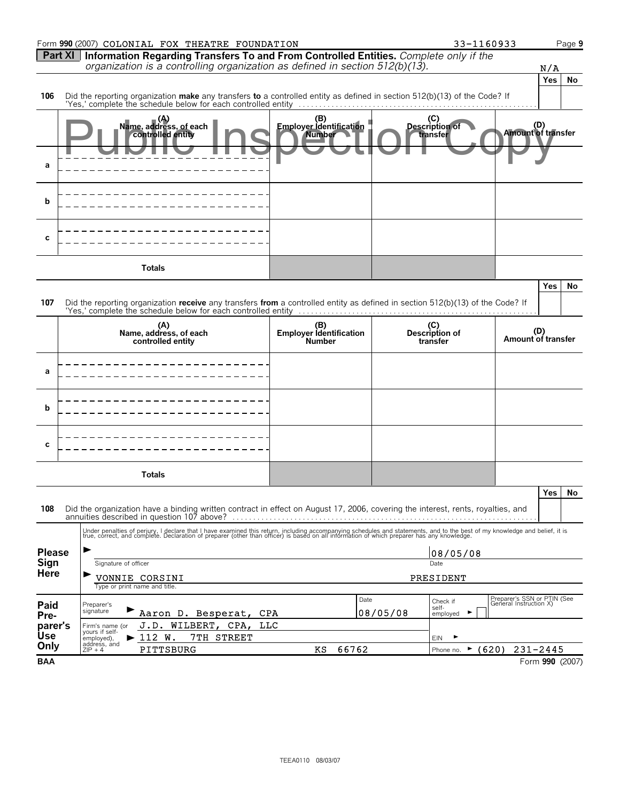|                 | Form 990 (2007) COLONIAL FOX THEATRE FOUNDATION                                                                                                                                                                                   |                                                 |          | 33-1160933                               |                                                       |                 | Page 9 |
|-----------------|-----------------------------------------------------------------------------------------------------------------------------------------------------------------------------------------------------------------------------------|-------------------------------------------------|----------|------------------------------------------|-------------------------------------------------------|-----------------|--------|
| <b>Part XI</b>  | Information Regarding Transfers To and From Controlled Entities. Complete only if the<br>organization is a controlling organization as defined in section $512(b)(13)$ .                                                          |                                                 |          |                                          |                                                       |                 |        |
|                 |                                                                                                                                                                                                                                   |                                                 |          |                                          |                                                       | N/A<br>Yes      | No     |
| 106             | Did the reporting organization make any transfers to a controlled entity as defined in section 512(b)(13) of the Code? If                                                                                                         |                                                 |          |                                          |                                                       |                 |        |
|                 |                                                                                                                                                                                                                                   |                                                 |          |                                          |                                                       |                 |        |
|                 | Name, address, of each<br>controlled entity                                                                                                                                                                                       | (B)<br>Employer Identification<br><b>Number</b> |          | (C)<br>Description of<br>transfer        | (D)<br>Amount of transfer                             |                 |        |
| а               |                                                                                                                                                                                                                                   |                                                 |          |                                          |                                                       |                 |        |
| b               |                                                                                                                                                                                                                                   |                                                 |          |                                          |                                                       |                 |        |
| С               |                                                                                                                                                                                                                                   |                                                 |          |                                          |                                                       |                 |        |
|                 | <b>Totals</b>                                                                                                                                                                                                                     |                                                 |          |                                          |                                                       |                 |        |
|                 |                                                                                                                                                                                                                                   |                                                 |          |                                          |                                                       | <b>Yes</b>      | No     |
| 107             | Did the reporting organization receive any transfers from a controlled entity as defined in section 512(b)(13) of the Code? If                                                                                                    |                                                 |          |                                          |                                                       |                 |        |
|                 |                                                                                                                                                                                                                                   |                                                 |          |                                          |                                                       |                 |        |
|                 | (A)<br>Name, address, of each<br>controlled entity                                                                                                                                                                                | (B)<br>Employer Identification<br><b>Number</b> |          | (C)<br>Description of<br>transfer        | (D)<br>Amount of transfer                             |                 |        |
| а               |                                                                                                                                                                                                                                   |                                                 |          |                                          |                                                       |                 |        |
| b               |                                                                                                                                                                                                                                   |                                                 |          |                                          |                                                       |                 |        |
| С               |                                                                                                                                                                                                                                   |                                                 |          |                                          |                                                       |                 |        |
|                 | <b>Totals</b>                                                                                                                                                                                                                     |                                                 |          |                                          |                                                       |                 |        |
| 108             | Did the organization have a binding written contract in effect on August 17, 2006, covering the interest, rents, royalties, and                                                                                                   |                                                 |          |                                          |                                                       | Yes             | No     |
|                 | Under penalties of perjury, I declare that I have examined this return, including accompanying schedules and statements, and to the best of my knowledge and belief, it is<br>true, correct, and complete. Declaration of prepare |                                                 |          |                                          |                                                       |                 |        |
| <b>Please</b>   |                                                                                                                                                                                                                                   |                                                 |          | 08/05/08                                 |                                                       |                 |        |
| Sign            | Signature of officer                                                                                                                                                                                                              |                                                 |          | Date                                     |                                                       |                 |        |
| <b>Here</b>     | VONNIE CORSINI<br>Type or print name and title.                                                                                                                                                                                   |                                                 |          | PRESIDENT                                |                                                       |                 |        |
| Paid            | Preparer's<br>signature                                                                                                                                                                                                           | Date                                            |          | Check if<br>self-                        | Preparer's SSN or PTIN (See<br>General Instruction X) |                 |        |
| Pre-<br>parer's | Aaron D. Besperat,<br><b>CPA</b><br>J.D. WILBERT, CPA,<br><b>TTC</b><br>Firm's name (or                                                                                                                                           |                                                 | 08/05/08 | ▶<br>employed                            |                                                       |                 |        |
| <b>Use</b>      | yours if self-<br>$\blacktriangleright$ 112 W.<br>7TH STREET<br>employed),<br>address, and                                                                                                                                        |                                                 |          | EIN                                      |                                                       |                 |        |
| Only            | PITTSBURG<br>$ZIP + 4$                                                                                                                                                                                                            | 66762<br>ΚS                                     |          | $\blacktriangleright$ (620)<br>Phone no. |                                                       | $231 - 2445$    |        |
| <b>BAA</b>      |                                                                                                                                                                                                                                   |                                                 |          |                                          |                                                       | Form 990 (2007) |        |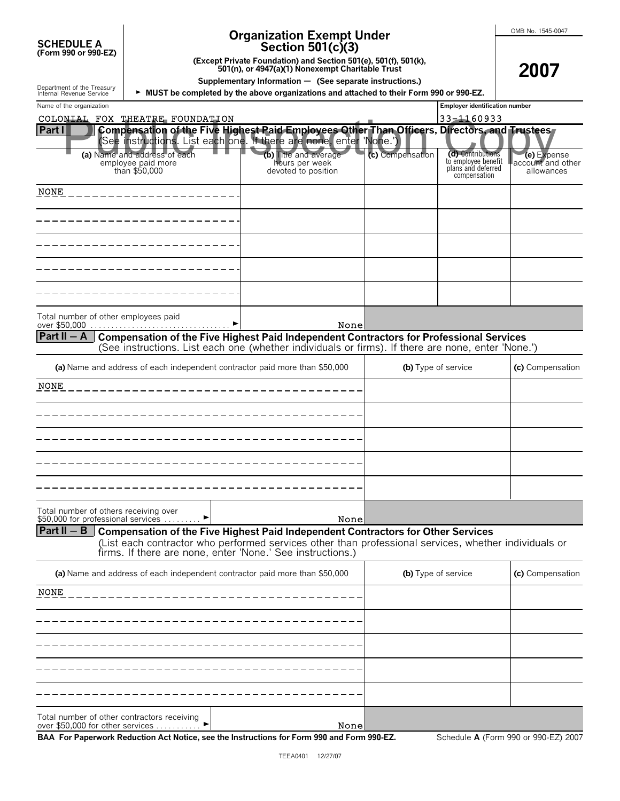| <b>SCHEDULE A</b>    |
|----------------------|
| (Form 990 or 990-EZ) |

Department of the Treasury<br>Internal Revenue Service

# **Organization Exempt Under**

**2007**

**Section 501(c)(3)**

**(Except Private Foundation) and Section 501(e), 501(f), 501(k), 501(n), or 4947(a)(1) Nonexempt Charitable Trust**

**Supplementary Information** ' **(See separate instructions.)**

**MUST be completed by the above organizations and attached to their Form 990 or 990-EZ.** 

| Name of the organization                                                                                                                                                                                                                                                        |                                                                | <b>Employer identification number</b> |                                                                                |                                                |
|---------------------------------------------------------------------------------------------------------------------------------------------------------------------------------------------------------------------------------------------------------------------------------|----------------------------------------------------------------|---------------------------------------|--------------------------------------------------------------------------------|------------------------------------------------|
| COLONIAL FOX THEATRE FOUNDATION                                                                                                                                                                                                                                                 |                                                                |                                       | 33-1160933                                                                     |                                                |
| Part I<br>Compensation of the Five Highest Paid Employees Other Than Officers, Directors, and Trustees,<br>See instructions. List each one. If there are none, enter 'None.')                                                                                                   |                                                                |                                       |                                                                                |                                                |
| (a) Name and address of each<br>employee paid more<br>than \$50,000                                                                                                                                                                                                             | (b) Title and average<br>hours per week<br>devoted to position | (c) Compensation                      | (d) Contributions<br>to employee benefit<br>plans and deferred<br>compensation | (e) Expense<br>account and other<br>allowances |
| <b>NONE</b>                                                                                                                                                                                                                                                                     |                                                                |                                       |                                                                                |                                                |
|                                                                                                                                                                                                                                                                                 |                                                                |                                       |                                                                                |                                                |
|                                                                                                                                                                                                                                                                                 |                                                                |                                       |                                                                                |                                                |
|                                                                                                                                                                                                                                                                                 |                                                                |                                       |                                                                                |                                                |
|                                                                                                                                                                                                                                                                                 |                                                                |                                       |                                                                                |                                                |
| Total number of other employees paid<br>over \$50,000                                                                                                                                                                                                                           | None                                                           |                                       |                                                                                |                                                |
| Part II $-$ A<br><b>Compensation of the Five Highest Paid Independent Contractors for Professional Services</b><br>(See instructions. List each one (whether individuals or firms). If there are none, enter 'None.')                                                           |                                                                |                                       |                                                                                |                                                |
| (a) Name and address of each independent contractor paid more than \$50,000                                                                                                                                                                                                     |                                                                |                                       | (b) Type of service                                                            | (c) Compensation                               |
| <b>NONE</b>                                                                                                                                                                                                                                                                     |                                                                |                                       |                                                                                |                                                |
|                                                                                                                                                                                                                                                                                 |                                                                |                                       |                                                                                |                                                |
|                                                                                                                                                                                                                                                                                 |                                                                |                                       |                                                                                |                                                |
|                                                                                                                                                                                                                                                                                 |                                                                |                                       |                                                                                |                                                |
|                                                                                                                                                                                                                                                                                 |                                                                |                                       |                                                                                |                                                |
| Total number of others receiving over<br>\$50,000 for professional services                                                                                                                                                                                                     | None                                                           |                                       |                                                                                |                                                |
| $Part II - B$<br><b>Compensation of the Five Highest Paid Independent Contractors for Other Services</b><br>(List each contractor who performed services other than professional services, whether individuals or<br>firms. If there are none, enter 'None.' See instructions.) |                                                                |                                       |                                                                                |                                                |
| (a) Name and address of each independent contractor paid more than \$50,000                                                                                                                                                                                                     |                                                                | (b) Type of service                   |                                                                                | (c) Compensation                               |
| <b>NONE</b>                                                                                                                                                                                                                                                                     |                                                                |                                       |                                                                                |                                                |
|                                                                                                                                                                                                                                                                                 |                                                                |                                       |                                                                                |                                                |
|                                                                                                                                                                                                                                                                                 |                                                                |                                       |                                                                                |                                                |
|                                                                                                                                                                                                                                                                                 |                                                                |                                       |                                                                                |                                                |
|                                                                                                                                                                                                                                                                                 |                                                                |                                       |                                                                                |                                                |
| Total number of other contractors receiving<br>over \$50,000 for other services                                                                                                                                                                                                 | None                                                           |                                       |                                                                                |                                                |

over  $$50,000$  for other services . . . . . . . . **BAA For Paperwork Reduction Act Notice, see the Instructions for Form 990 and Form 990-EZ.** Schedule **A** (Form 990 or 990-EZ) 2007 None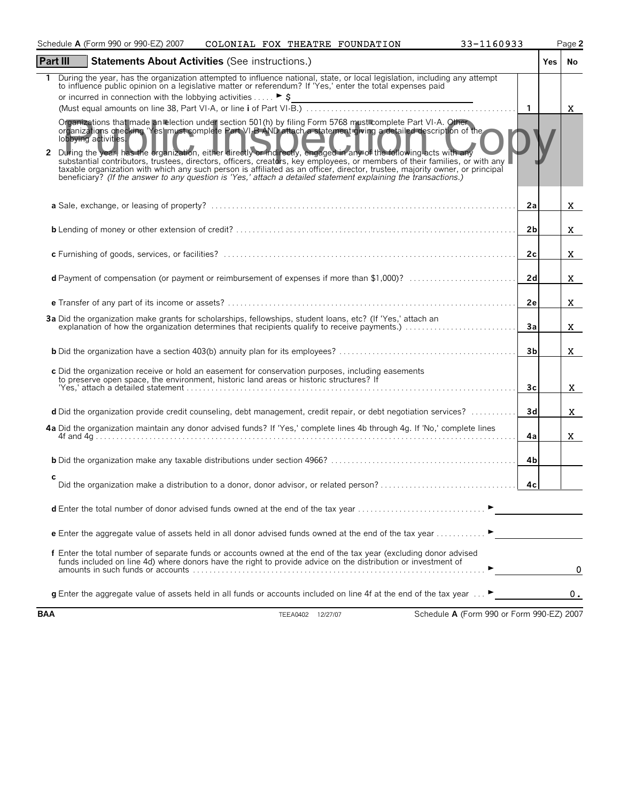| Schedule A (Form 990 or 990-EZ) 2007<br>COLONIAL FOX THEATRE FOUNDATION                                                                                                                                                                                                                                                                                                                                                                                                                                                                                                                                                                                                                                                                                               | 33-1160933     |            | Page 2 |
|-----------------------------------------------------------------------------------------------------------------------------------------------------------------------------------------------------------------------------------------------------------------------------------------------------------------------------------------------------------------------------------------------------------------------------------------------------------------------------------------------------------------------------------------------------------------------------------------------------------------------------------------------------------------------------------------------------------------------------------------------------------------------|----------------|------------|--------|
| <b>Part III</b><br><b>Statements About Activities (See instructions.)</b>                                                                                                                                                                                                                                                                                                                                                                                                                                                                                                                                                                                                                                                                                             |                | <b>Yes</b> | No     |
| During the year, has the organization attempted to influence national, state, or local legislation, including any attempt<br>to influence public opinion on a legislative matter or referendum? If 'Yes,' enter the total expenses paid<br>or incurred in connection with the lobbying activities $\triangleright$ \$<br><u> 1989 - Johann Stein, marwolaethau a bhann an t-Amhair ann an t-Amhair an t-Amhair an t-Amhair an t-Amhair an</u>                                                                                                                                                                                                                                                                                                                         | $\overline{1}$ |            | X.     |
| Organizations that made an election under section 501(h) by filing Form 5768 must complete Part VI-A. Other<br>organizations checking 'Yes' must complete Part VI-B AND attach a statement giving a detailed description of the<br>lobbying activities.<br>During the year, has the organization, either directly or indirectly, engaged in any of the following acts with any<br>2<br>substantial contributors, trustees, directors, officers, creators, key employees, or members of their families, or with any<br>taxable organization with which any such person is affiliated as an officer, director, trustee, majority owner, or principal<br>beneficiary? (If the answer to any question is 'Yes,' attach a detailed statement explaining the transactions.) |                |            |        |
|                                                                                                                                                                                                                                                                                                                                                                                                                                                                                                                                                                                                                                                                                                                                                                       | 2a             |            | X.     |
|                                                                                                                                                                                                                                                                                                                                                                                                                                                                                                                                                                                                                                                                                                                                                                       | 2 <sub>b</sub> |            | X.     |
|                                                                                                                                                                                                                                                                                                                                                                                                                                                                                                                                                                                                                                                                                                                                                                       | 2 <sub>c</sub> |            | X.     |
| d Payment of compensation (or payment or reimbursement of expenses if more than \$1,000)?                                                                                                                                                                                                                                                                                                                                                                                                                                                                                                                                                                                                                                                                             | 2d             |            | X.     |
|                                                                                                                                                                                                                                                                                                                                                                                                                                                                                                                                                                                                                                                                                                                                                                       | 2e             |            | X.     |
| 3a Did the organization make grants for scholarships, fellowships, student loans, etc? (If 'Yes,' attach an<br>explanation of how the organization determines that recipients qualify to receive payments.)                                                                                                                                                                                                                                                                                                                                                                                                                                                                                                                                                           | 3a             |            | X.     |
|                                                                                                                                                                                                                                                                                                                                                                                                                                                                                                                                                                                                                                                                                                                                                                       | 3 <sub>b</sub> |            | X.     |
| c Did the organization receive or hold an easement for conservation purposes, including easements<br>to preserve open space, the environment, historic land areas or historic structures? If                                                                                                                                                                                                                                                                                                                                                                                                                                                                                                                                                                          | Зc             |            | X.     |
| d Did the organization provide credit counseling, debt management, credit repair, or debt negotiation services?                                                                                                                                                                                                                                                                                                                                                                                                                                                                                                                                                                                                                                                       | 3d             |            | X.     |
| 4a Did the organization maintain any donor advised funds? If 'Yes,' complete lines 4b through 4g. If 'No,' complete lines                                                                                                                                                                                                                                                                                                                                                                                                                                                                                                                                                                                                                                             | 4a             |            | X.     |
|                                                                                                                                                                                                                                                                                                                                                                                                                                                                                                                                                                                                                                                                                                                                                                       | 4b             |            |        |
| c                                                                                                                                                                                                                                                                                                                                                                                                                                                                                                                                                                                                                                                                                                                                                                     | 4 <sub>c</sub> |            |        |
|                                                                                                                                                                                                                                                                                                                                                                                                                                                                                                                                                                                                                                                                                                                                                                       |                |            |        |
| <b>e</b> Enter the aggregate value of assets held in all donor advised funds owned at the end of the tax year $\ldots$                                                                                                                                                                                                                                                                                                                                                                                                                                                                                                                                                                                                                                                |                |            |        |
| f Enter the total number of separate funds or accounts owned at the end of the tax year (excluding donor advised<br>funds included on line 4d) where donors have the right to provide advice on the distribution or investment of                                                                                                                                                                                                                                                                                                                                                                                                                                                                                                                                     |                |            | 0      |
| <b>g</b> Enter the aggregate value of assets held in all funds or accounts included on line 4f at the end of the tax year $\ldots$                                                                                                                                                                                                                                                                                                                                                                                                                                                                                                                                                                                                                                    |                |            | 0.     |
| Schedule A (Form 990 or Form 990-EZ) 2007<br><b>BAA</b><br>TEEA0402 12/27/07                                                                                                                                                                                                                                                                                                                                                                                                                                                                                                                                                                                                                                                                                          |                |            |        |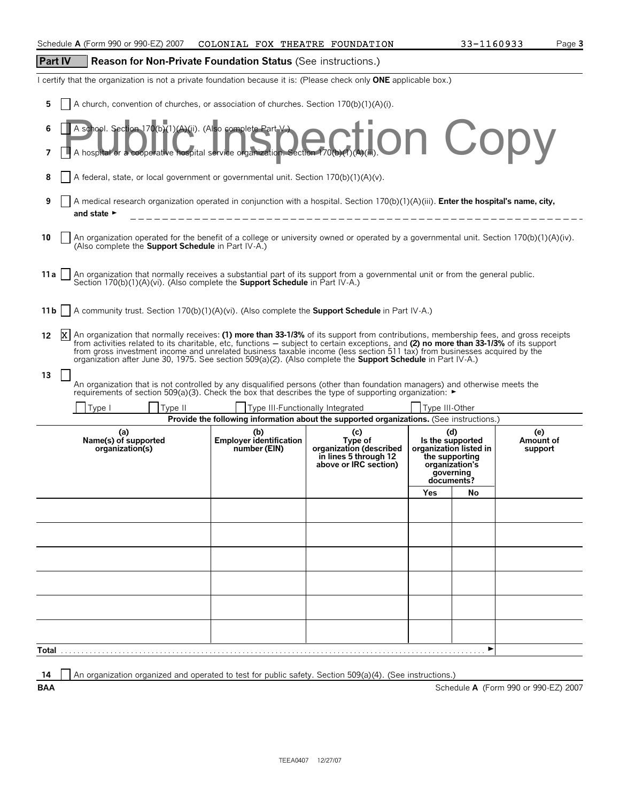# **Part IV Reason for Non-Private Foundation Status** (See instructions.)

I certify that the organization is not a private foundation because it is: (Please check only **ONE** applicable box.)

**5** A church, convention of churches, or association of churches. Section 170(b)(1)(A)(i).

| 7    | A school. Section 170(b)(1)(A)(ii). (Also complete Part V)<br>A hospital or a cooperative hospital service organization. Section 770(b)(7)(b)(1). On CODV                                                                                                                                                                                                                                                                                                                                                                                |  |                                  |                |     |  |  |  |  |
|------|------------------------------------------------------------------------------------------------------------------------------------------------------------------------------------------------------------------------------------------------------------------------------------------------------------------------------------------------------------------------------------------------------------------------------------------------------------------------------------------------------------------------------------------|--|----------------------------------|----------------|-----|--|--|--|--|
|      | A federal, state, or local government or governmental unit. Section 170(b)(1)(A)(v).                                                                                                                                                                                                                                                                                                                                                                                                                                                     |  |                                  |                |     |  |  |  |  |
| 9    | A medical research organization operated in conjunction with a hospital. Section 170(b)(1)(A)(iii). Enter the hospital's name, city,<br>and state $\blacktriangleright$                                                                                                                                                                                                                                                                                                                                                                  |  |                                  |                |     |  |  |  |  |
| 10   | An organization operated for the benefit of a college or university owned or operated by a governmental unit. Section 170(b)(1)(A)(iv).<br>(Also complete the Support Schedule in Part IV-A.)                                                                                                                                                                                                                                                                                                                                            |  |                                  |                |     |  |  |  |  |
| 11 a | An organization that normally receives a substantial part of its support from a governmental unit or from the general public.<br>Section 170(b)(1)(A)(vi). (Also complete the <b>Support Schedule</b> in Part IV-A.)                                                                                                                                                                                                                                                                                                                     |  |                                  |                |     |  |  |  |  |
| 11 b | A community trust. Section 170(b)(1)(A)(vi). (Also complete the <b>Support Schedule</b> in Part IV-A.)                                                                                                                                                                                                                                                                                                                                                                                                                                   |  |                                  |                |     |  |  |  |  |
| 12   | ΙXΙ<br>An organization that normally receives: (1) more than 33-1/3% of its support from contributions, membership fees, and gross receipts<br>from activities related to its charitable, etc, functions – subject to certain exceptions, and (2) no more than 33-1/3% of its support<br>from gross investment income and unrelated business taxable income (less section 511 tax) from businesses acquired by the<br>organization after June 30, 1975. See section 509(a)(2). (Also complete the <b>Support Schedule</b> in Part IV-A.) |  |                                  |                |     |  |  |  |  |
| 13   | An organization that is not controlled by any disqualified persons (other than foundation managers) and otherwise meets the<br>requirements of section 509(a)(3). Check the box that describes the type of supporting organization: ►                                                                                                                                                                                                                                                                                                    |  |                                  |                |     |  |  |  |  |
|      | Type I<br>Type II                                                                                                                                                                                                                                                                                                                                                                                                                                                                                                                        |  | Type III-Functionally Integrated | Type III-Other |     |  |  |  |  |
|      | Provide the following information about the supported organizations. (See instructions.)<br>(a)<br>(d)<br>(e)<br>(b)<br>(c)<br><b>Employer identification</b><br>Name(s) of supported<br>Type of<br>Is the supported<br>Amount of<br>number (EIN)<br>organization (described<br>organization(s)<br>organization listed in<br>support<br>in lines 5 through 12<br>the supporting<br>above or IRC section)<br>organization's<br>governing<br>documents?                                                                                    |  |                                  |                |     |  |  |  |  |
|      |                                                                                                                                                                                                                                                                                                                                                                                                                                                                                                                                          |  |                                  | Yes            | No. |  |  |  |  |
|      |                                                                                                                                                                                                                                                                                                                                                                                                                                                                                                                                          |  |                                  |                |     |  |  |  |  |
|      |                                                                                                                                                                                                                                                                                                                                                                                                                                                                                                                                          |  |                                  |                |     |  |  |  |  |
|      |                                                                                                                                                                                                                                                                                                                                                                                                                                                                                                                                          |  |                                  |                |     |  |  |  |  |
|      |                                                                                                                                                                                                                                                                                                                                                                                                                                                                                                                                          |  |                                  |                |     |  |  |  |  |
|      |                                                                                                                                                                                                                                                                                                                                                                                                                                                                                                                                          |  |                                  |                |     |  |  |  |  |
|      |                                                                                                                                                                                                                                                                                                                                                                                                                                                                                                                                          |  |                                  |                |     |  |  |  |  |
|      |                                                                                                                                                                                                                                                                                                                                                                                                                                                                                                                                          |  |                                  |                |     |  |  |  |  |

**14** An organization organized and operated to test for public safety. Section 509(a)(4). (See instructions.)

**BAA** Schedule **A** (Form 990 or 990-EZ) 2007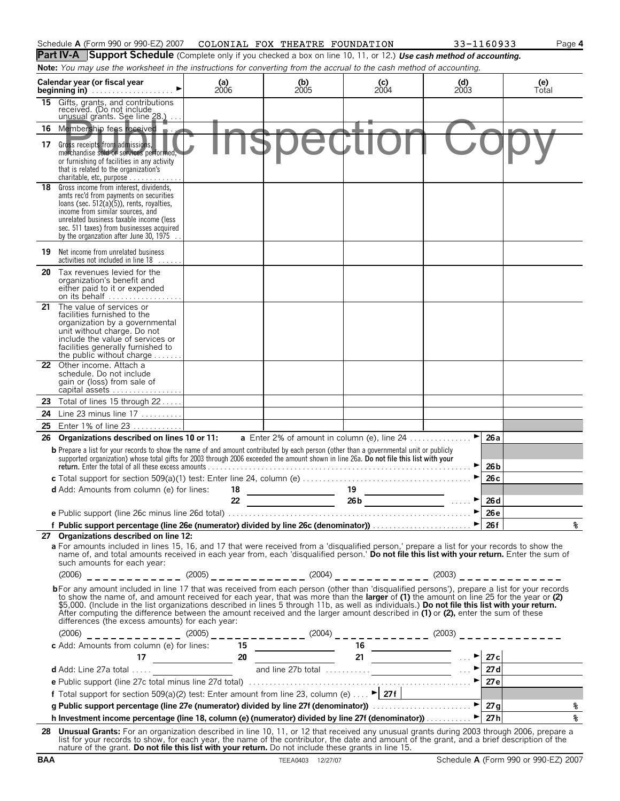|    | Schedule A (Form 990 or 990-EZ) 2007                                                                                                                                                                                                                                                                                                                                                                                                                                                                                                                                                                                           | COLONIAL FOX THEATRE FOUNDATION |                                                      |                                                                                                                                                                                                                                                                                                                                                                                   | 33-1160933                                               | Page 4                                                                     |
|----|--------------------------------------------------------------------------------------------------------------------------------------------------------------------------------------------------------------------------------------------------------------------------------------------------------------------------------------------------------------------------------------------------------------------------------------------------------------------------------------------------------------------------------------------------------------------------------------------------------------------------------|---------------------------------|------------------------------------------------------|-----------------------------------------------------------------------------------------------------------------------------------------------------------------------------------------------------------------------------------------------------------------------------------------------------------------------------------------------------------------------------------|----------------------------------------------------------|----------------------------------------------------------------------------|
|    | Part IV-A Support Schedule (Complete only if you checked a box on line 10, 11, or 12.) Use cash method of accounting.                                                                                                                                                                                                                                                                                                                                                                                                                                                                                                          |                                 |                                                      |                                                                                                                                                                                                                                                                                                                                                                                   |                                                          |                                                                            |
|    | Note: You may use the worksheet in the instructions for converting from the accrual to the cash method of accounting.                                                                                                                                                                                                                                                                                                                                                                                                                                                                                                          |                                 |                                                      |                                                                                                                                                                                                                                                                                                                                                                                   |                                                          |                                                                            |
|    | Calendar year (or fiscal year<br>beginning in) $\ldots$ . $\ldots$ . $\ldots$ . $\ldots$ .                                                                                                                                                                                                                                                                                                                                                                                                                                                                                                                                     | (a)<br>$2006$                   | $\begin{array}{c} \textbf{(b)} \\ 2005 \end{array}$  | $\begin{array}{c} \textbf{(c)} \\ 2004 \end{array}$                                                                                                                                                                                                                                                                                                                               | $\begin{array}{c} \text{(d)} \\ \text{2003} \end{array}$ | (e)<br>Total                                                               |
|    | 15 Gifts, grants, and contributions<br>received. (Do not include<br>unusual grants. See line 28.)                                                                                                                                                                                                                                                                                                                                                                                                                                                                                                                              |                                 |                                                      |                                                                                                                                                                                                                                                                                                                                                                                   |                                                          |                                                                            |
|    | 16 Membership fees received                                                                                                                                                                                                                                                                                                                                                                                                                                                                                                                                                                                                    |                                 |                                                      |                                                                                                                                                                                                                                                                                                                                                                                   |                                                          |                                                                            |
|    | 17 Gross receipts from admissions,<br>merchandise sold or services performed,<br>or furnishing of facilities in any activity<br>that is related to the organization's<br>charitable, etc, purpose                                                                                                                                                                                                                                                                                                                                                                                                                              |                                 |                                                      |                                                                                                                                                                                                                                                                                                                                                                                   |                                                          |                                                                            |
|    | 18 Gross income from interest, dividends,<br>amts rec'd from payments on securities<br>loans (sec. 512(a)(5)), rents, royalties,<br>income from similar sources, and<br>unrelated business taxable income (less<br>sec. 511 taxes) from businesses acquired<br>by the organzation after June 30, 1975                                                                                                                                                                                                                                                                                                                          |                                 |                                                      |                                                                                                                                                                                                                                                                                                                                                                                   |                                                          |                                                                            |
|    | <b>19</b> Net income from unrelated business<br>activities not included in line 18<br>1.1.1.1.1                                                                                                                                                                                                                                                                                                                                                                                                                                                                                                                                |                                 |                                                      |                                                                                                                                                                                                                                                                                                                                                                                   |                                                          |                                                                            |
|    | <b>20</b> Tax revenues levied for the<br>organization's benefit and<br>either paid to it or expended                                                                                                                                                                                                                                                                                                                                                                                                                                                                                                                           |                                 |                                                      |                                                                                                                                                                                                                                                                                                                                                                                   |                                                          |                                                                            |
| 21 | The value of services or<br>facilities furnished to the<br>organization by a governmental<br>unit without charge. Do not<br>include the value of services or<br>facilities generally furnished to<br>the public without charge                                                                                                                                                                                                                                                                                                                                                                                                 |                                 |                                                      |                                                                                                                                                                                                                                                                                                                                                                                   |                                                          |                                                                            |
|    | 22 Other income. Attach a<br>schedule. Do not include<br>gain or (loss) from sale of                                                                                                                                                                                                                                                                                                                                                                                                                                                                                                                                           |                                 |                                                      |                                                                                                                                                                                                                                                                                                                                                                                   |                                                          |                                                                            |
|    | 23 Total of lines 15 through 22                                                                                                                                                                                                                                                                                                                                                                                                                                                                                                                                                                                                |                                 |                                                      |                                                                                                                                                                                                                                                                                                                                                                                   |                                                          |                                                                            |
| 24 | Line 23 minus line $17$                                                                                                                                                                                                                                                                                                                                                                                                                                                                                                                                                                                                        |                                 |                                                      |                                                                                                                                                                                                                                                                                                                                                                                   |                                                          |                                                                            |
| 25 | Enter 1% of line 23                                                                                                                                                                                                                                                                                                                                                                                                                                                                                                                                                                                                            |                                 |                                                      |                                                                                                                                                                                                                                                                                                                                                                                   |                                                          |                                                                            |
|    | 26 Organizations described on lines 10 or 11:                                                                                                                                                                                                                                                                                                                                                                                                                                                                                                                                                                                  |                                 | <b>a</b> Enter 2% of amount in column (e), line $24$ |                                                                                                                                                                                                                                                                                                                                                                                   | $\blacktriangleright$<br>26a                             |                                                                            |
|    | b Prepare a list for your records to show the name of and amount contributed by each person (other than a governmental unit or publicly<br>supported organization) whose total gifts for 2003 through 2006 exceeded the amount shown in line 26a. Do not file this list with your                                                                                                                                                                                                                                                                                                                                              |                                 |                                                      |                                                                                                                                                                                                                                                                                                                                                                                   | 26 b                                                     |                                                                            |
|    |                                                                                                                                                                                                                                                                                                                                                                                                                                                                                                                                                                                                                                |                                 |                                                      |                                                                                                                                                                                                                                                                                                                                                                                   | 26 <sub>c</sub>                                          |                                                                            |
|    | d Add: Amounts from column (e) for lines:                                                                                                                                                                                                                                                                                                                                                                                                                                                                                                                                                                                      | 18                              |                                                      | 19                                                                                                                                                                                                                                                                                                                                                                                |                                                          |                                                                            |
|    |                                                                                                                                                                                                                                                                                                                                                                                                                                                                                                                                                                                                                                | 22                              | ————<br>————————————————————                         | $26b$ $\overline{\qquad \qquad }$ $\qquad \qquad$ $\qquad \qquad$ $\qquad \qquad$ $\qquad \qquad$ $\qquad \qquad$ $\qquad \qquad$ $\qquad \qquad$ $\qquad \qquad$ $\qquad \qquad$ $\qquad \qquad$ $\qquad \qquad$ $\qquad \qquad$ $\qquad$ $\qquad$ $\qquad$ $\qquad$ $\qquad$ $\qquad$ $\qquad$ $\qquad$ $\qquad$ $\qquad$ $\qquad$ $\qquad$ $\qquad$ $\qquad$ $\qquad$ $\qquad$ | 26 d                                                     |                                                                            |
|    |                                                                                                                                                                                                                                                                                                                                                                                                                                                                                                                                                                                                                                |                                 |                                                      |                                                                                                                                                                                                                                                                                                                                                                                   | 26e                                                      |                                                                            |
|    | f Public support percentage (line 26e (numerator) divided by line 26c (denominator))<br>27 Organizations described on line 12:                                                                                                                                                                                                                                                                                                                                                                                                                                                                                                 |                                 |                                                      |                                                                                                                                                                                                                                                                                                                                                                                   | 26f                                                      | နွ                                                                         |
|    | a For amounts included in lines 15, 16, and 17 that were received from a 'disqualified person,' prepare a list for your records to show the<br>name of, and total amounts received in each year from, each 'disqualified person.' Do not file this list with your return. Enter the sum of<br>such amounts for each year:                                                                                                                                                                                                                                                                                                      |                                 |                                                      |                                                                                                                                                                                                                                                                                                                                                                                   |                                                          |                                                                            |
|    | bFor any amount included in line 17 that was received from each person (other than 'disqualified persons'), prepare a list for your records<br>to show the name of, and amount received for each year, that was more than the larger of (1) the amount on line 25 for the year or (2)<br>\$5,000. (Include in the list organizations described in lines 5 through 11b, as well as individuals.) Do not file this list with your return.<br>After computing the difference between the amount received and the larger amount described in (1) or (2), enter the sum of these<br>differences (the excess amounts) for each year: |                                 |                                                      |                                                                                                                                                                                                                                                                                                                                                                                   |                                                          |                                                                            |
|    |                                                                                                                                                                                                                                                                                                                                                                                                                                                                                                                                                                                                                                |                                 |                                                      |                                                                                                                                                                                                                                                                                                                                                                                   |                                                          |                                                                            |
|    | c Add: Amounts from column (e) for lines: $\frac{(2005)_{-} - (2004)}{15} = \frac{1}{21} = \frac{1}{276} = \frac{1}{276} = \frac{1}{276} = \frac{1}{276} = \frac{1}{276} = \frac{1}{276} = \frac{1}{276} = \frac{1}{276} = \frac{1}{276} = \frac{1}{276} = \frac{1}{276} = \frac{1}{276} = \frac{1}{276} = \frac{1}{276} = \frac{1}{2$                                                                                                                                                                                                                                                                                         |                                 |                                                      |                                                                                                                                                                                                                                                                                                                                                                                   |                                                          | $\begin{array}{ c c } \hline 27c & & \\ \hline 27d & & \hline \end{array}$ |
|    |                                                                                                                                                                                                                                                                                                                                                                                                                                                                                                                                                                                                                                |                                 |                                                      |                                                                                                                                                                                                                                                                                                                                                                                   |                                                          |                                                                            |
|    |                                                                                                                                                                                                                                                                                                                                                                                                                                                                                                                                                                                                                                |                                 |                                                      |                                                                                                                                                                                                                                                                                                                                                                                   |                                                          | 27e                                                                        |
|    | f Total support for section 509(a)(2) test: Enter amount from line 23, column (e) $\blacktriangleright$ 27f                                                                                                                                                                                                                                                                                                                                                                                                                                                                                                                    |                                 |                                                      |                                                                                                                                                                                                                                                                                                                                                                                   |                                                          |                                                                            |
|    |                                                                                                                                                                                                                                                                                                                                                                                                                                                                                                                                                                                                                                |                                 |                                                      |                                                                                                                                                                                                                                                                                                                                                                                   | $\overline{\blacktriangleright}$                         | $\rm ^{9}$<br>27g                                                          |
|    | h Investment income percentage (line 18, column (e) (numerator) divided by line 27f (denominator))                                                                                                                                                                                                                                                                                                                                                                                                                                                                                                                             |                                 |                                                      |                                                                                                                                                                                                                                                                                                                                                                                   | 27h                                                      | နွ                                                                         |
|    | 28 Unusual Grants: For an organization described in line 10, 11, or 12 that received any unusual grants during 2003 through 2006, prepare a<br>list for your records to show, for each year, the name of the contributor, the date and amount of the grant, and a brief description of the nature of the grant. Do not file this list with your return. Do not include these                                                                                                                                                                                                                                                   |                                 |                                                      |                                                                                                                                                                                                                                                                                                                                                                                   |                                                          |                                                                            |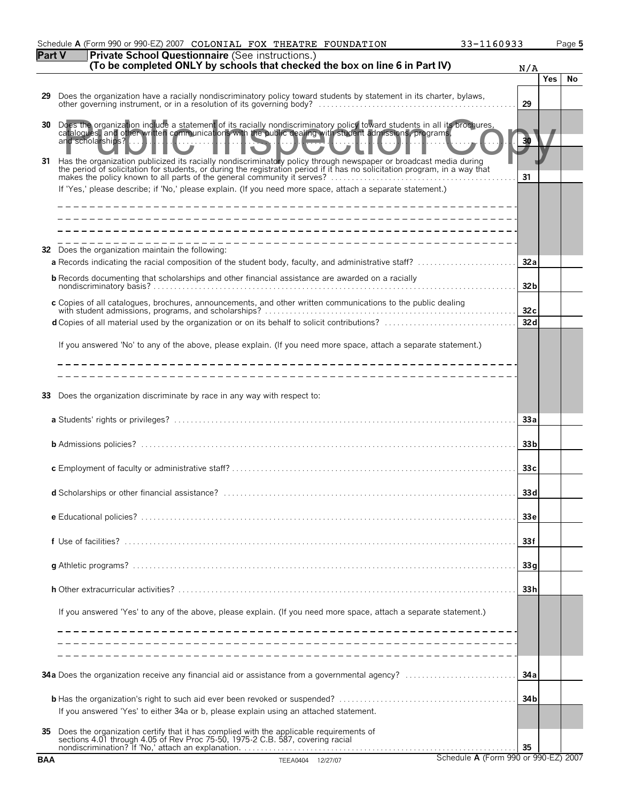|            | 33-1160933<br>Schedule A (Form 990 or 990-EZ) 2007 COLONIAL FOX THEATRE FOUNDATION                                                                                                                                                                                                                                                                                                                                                                                  |                 |     | Page 5 |
|------------|---------------------------------------------------------------------------------------------------------------------------------------------------------------------------------------------------------------------------------------------------------------------------------------------------------------------------------------------------------------------------------------------------------------------------------------------------------------------|-----------------|-----|--------|
| Part V     | Private School Questionnaire (See instructions.)<br>(To be completed ONLY by schools that checked the box on line 6 in Part IV)                                                                                                                                                                                                                                                                                                                                     | N/A             |     |        |
|            |                                                                                                                                                                                                                                                                                                                                                                                                                                                                     |                 | Yes | No     |
| 29.        | Does the organization have a racially nondiscriminatory policy toward students by statement in its charter, bylaws,                                                                                                                                                                                                                                                                                                                                                 | 29              |     |        |
| 30<br>31   | Does the organization include a statement of its racially nondiscriminatory policy toward students in all its brochures, catalogues, and other written communications with the public dealing with student admissions programs<br>Has the organization publicized its racially nondiscriminatory policy through newspaper or broadcast media during<br>the period of solicitation for students, or during the registration period if it has no solicitation program |                 |     |        |
|            | If 'Yes,' please describe; if 'No,' please explain. (If you need more space, attach a separate statement.)                                                                                                                                                                                                                                                                                                                                                          | 31              |     |        |
|            |                                                                                                                                                                                                                                                                                                                                                                                                                                                                     |                 |     |        |
|            | <b>32</b> Does the organization maintain the following:                                                                                                                                                                                                                                                                                                                                                                                                             | 32a             |     |        |
|            | <b>b</b> Records documenting that scholarships and other financial assistance are awarded on a racially                                                                                                                                                                                                                                                                                                                                                             | 32 <sub>b</sub> |     |        |
|            | c Copies of all catalogues, brochures, announcements, and other written communications to the public dealing                                                                                                                                                                                                                                                                                                                                                        | 32c             |     |        |
|            |                                                                                                                                                                                                                                                                                                                                                                                                                                                                     | 32d             |     |        |
|            | If you answered 'No' to any of the above, please explain. (If you need more space, attach a separate statement.)                                                                                                                                                                                                                                                                                                                                                    |                 |     |        |
| 33         | Does the organization discriminate by race in any way with respect to:                                                                                                                                                                                                                                                                                                                                                                                              | 33a             |     |        |
|            |                                                                                                                                                                                                                                                                                                                                                                                                                                                                     |                 |     |        |
|            |                                                                                                                                                                                                                                                                                                                                                                                                                                                                     | 33 <sub>b</sub> |     |        |
|            |                                                                                                                                                                                                                                                                                                                                                                                                                                                                     | 33 <sub>c</sub> |     |        |
|            |                                                                                                                                                                                                                                                                                                                                                                                                                                                                     | 33d             |     |        |
|            |                                                                                                                                                                                                                                                                                                                                                                                                                                                                     | 33 <sub>e</sub> |     |        |
|            |                                                                                                                                                                                                                                                                                                                                                                                                                                                                     | 33f             |     |        |
|            |                                                                                                                                                                                                                                                                                                                                                                                                                                                                     | 33q             |     |        |
|            |                                                                                                                                                                                                                                                                                                                                                                                                                                                                     | 33 <sub>h</sub> |     |        |
|            | If you answered 'Yes' to any of the above, please explain. (If you need more space, attach a separate statement.)                                                                                                                                                                                                                                                                                                                                                   |                 |     |        |
|            |                                                                                                                                                                                                                                                                                                                                                                                                                                                                     |                 |     |        |
|            |                                                                                                                                                                                                                                                                                                                                                                                                                                                                     | 34 a            |     |        |
|            | If you answered 'Yes' to either 34a or b, please explain using an attached statement.                                                                                                                                                                                                                                                                                                                                                                               | 34 <sub>b</sub> |     |        |
| 35         | Does the organization certify that it has complied with the applicable requirements of sections 4.01 through 4.05 of Rev Proc 75-50, 1975-2 C.B. 587, covering racial<br>nondiscrimination? If 'No,' attach an explanation.                                                                                                                                                                                                                                         | 35              |     |        |
| <b>BAA</b> | Schedule A (Form 990 or 990-EZ) 2007<br>TEEA0404 12/27/07                                                                                                                                                                                                                                                                                                                                                                                                           |                 |     |        |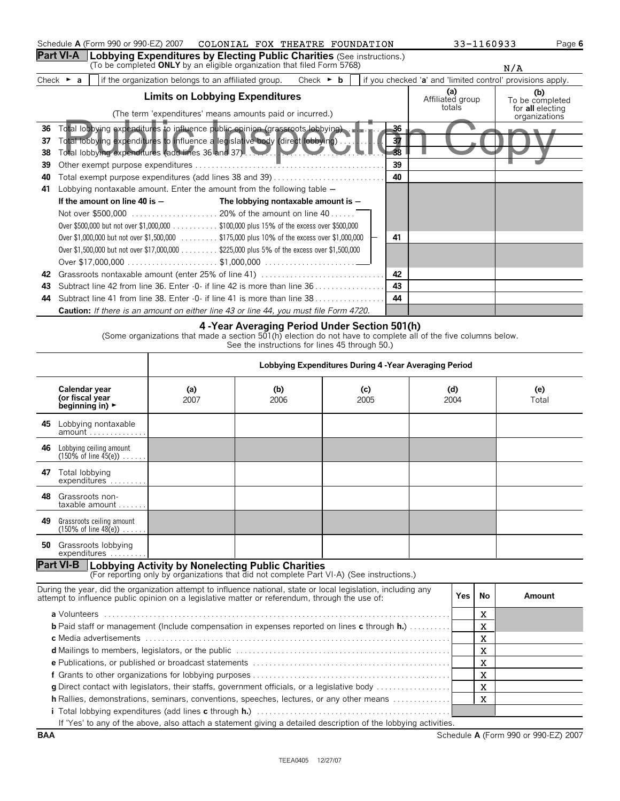|                             | Schedule A (Form 990 or 990-EZ) 2007 COLONIAL FOX THEATRE FOUNDATION                                                                                                 | 33-1160933 |                                                            | Page 6                            |  |
|-----------------------------|----------------------------------------------------------------------------------------------------------------------------------------------------------------------|------------|------------------------------------------------------------|-----------------------------------|--|
|                             | <b>Part VI-A</b>   Lobbying Expenditures by Electing Public Charities (See instructions.)<br>(To be completed ONLY by an eligible organization that filed Form 5768) |            |                                                            | N/A                               |  |
| Check $\blacktriangleright$ | if the organization belongs to an affiliated group.<br>Check $\triangleright$ <b>b</b><br>a                                                                          |            | if you checked 'a' and 'limited control' provisions apply. |                                   |  |
|                             | <b>Limits on Lobbying Expenditures</b>                                                                                                                               |            | (a)<br>Affiliated group<br>totals                          | (b)<br>To be completed            |  |
|                             | (The term 'expenditures' means amounts paid or incurred.)                                                                                                            |            |                                                            | for all electing<br>organizations |  |
| 36                          | Total lobbying expenditures to influence public opinion (grassroots lobbying).                                                                                       | -36        |                                                            |                                   |  |
| 37                          | Total lobbying expenditures to influence a legislative body (direct lobbying)                                                                                        | 37         |                                                            |                                   |  |
| 38                          | Total lobbying expenditures (add lines 36 and 37).                                                                                                                   | 38         |                                                            |                                   |  |
| 39                          |                                                                                                                                                                      | 39         |                                                            |                                   |  |
| 40                          | Total exempt purpose expenditures (add lines 38 and 39)                                                                                                              | 40         |                                                            |                                   |  |
| 41                          | Lobbying nontaxable amount. Enter the amount from the following table $-$                                                                                            |            |                                                            |                                   |  |
|                             | If the amount on line 40 is $-$<br>The lobbying nontaxable amount is -                                                                                               |            |                                                            |                                   |  |
|                             |                                                                                                                                                                      |            |                                                            |                                   |  |
|                             | Over \$500,000 but not over \$1,000,000 \$100,000 plus 15% of the excess over \$500,000                                                                              |            |                                                            |                                   |  |
|                             | Over \$1,000,000 but not over \$1,500,000 \$175,000 plus 10% of the excess over \$1,000,000                                                                          | 41         |                                                            |                                   |  |
|                             | Over \$1,500,000 but not over \$17,000,000 \$225,000 plus 5% of the excess over \$1,500,000                                                                          |            |                                                            |                                   |  |
|                             |                                                                                                                                                                      |            |                                                            |                                   |  |
| 42                          | Grassroots nontaxable amount (enter 25% of line 41)                                                                                                                  | 42         |                                                            |                                   |  |
| 43                          |                                                                                                                                                                      | 43         |                                                            |                                   |  |
| 44                          | Subtract line 41 from line 38. Enter -0- if line 41 is more than line 38.                                                                                            | ΔΔ         |                                                            |                                   |  |
|                             | <b>Caution:</b> If there is an amount on either line 43 or line 44, you must file Form 4720.                                                                         |            |                                                            |                                   |  |

## **4 -Year Averaging Period Under Section 501(h)**

(Some organizations that made a section 501(h) election do not have to complete all of the five columns below.

See the instructions for lines 45 through 50.)

|     |                                                                                                                                                                                                                  | Lobbying Expenditures During 4 - Year Averaging Period |                                                                                           |             |  |             |              |              |
|-----|------------------------------------------------------------------------------------------------------------------------------------------------------------------------------------------------------------------|--------------------------------------------------------|-------------------------------------------------------------------------------------------|-------------|--|-------------|--------------|--------------|
|     | Calendar year<br>(or fiscal year<br>beginning in) $\blacktriangleright$                                                                                                                                          | (a)<br>2007                                            | (b)<br>2006                                                                               | (c)<br>2005 |  | (d)<br>2004 |              | (e)<br>Total |
|     | 45 Lobbying nontaxable                                                                                                                                                                                           |                                                        |                                                                                           |             |  |             |              |              |
| 46  | Lobbying ceiling amount<br>$(150\% \text{ of line } 45(e)) \dots$ .                                                                                                                                              |                                                        |                                                                                           |             |  |             |              |              |
| 47  | Total lobbying<br>expenditures                                                                                                                                                                                   |                                                        |                                                                                           |             |  |             |              |              |
| 48. | Grassroots non-<br>taxable amount                                                                                                                                                                                |                                                        |                                                                                           |             |  |             |              |              |
| 49  | Grassroots ceiling amount<br>$(150\% \text{ of line } 48(e)) \dots$ .                                                                                                                                            |                                                        |                                                                                           |             |  |             |              |              |
|     | <b>50</b> Grassroots lobbying<br>$expenditures$                                                                                                                                                                  |                                                        |                                                                                           |             |  |             |              |              |
|     | <b>Part VI-B   Lobbying Activity by Nonelecting Public Charities</b>                                                                                                                                             |                                                        | (For reporting only by organizations that did not complete Part VI-A) (See instructions.) |             |  |             |              |              |
|     | During the year, did the organization attempt to influence national, state or local legislation, including any<br>attempt to influence public opinion on a legislative matter or referendum, through the use of: |                                                        |                                                                                           |             |  | Yes         | No           | Amount       |
|     |                                                                                                                                                                                                                  |                                                        |                                                                                           |             |  |             | $\mathbf{x}$ |              |
|     | <b>b</b> Paid staff or management (Include compensation in expenses reported on lines c through $h$ .)                                                                                                           |                                                        |                                                                                           |             |  |             | X            |              |
|     | X                                                                                                                                                                                                                |                                                        |                                                                                           |             |  |             |              |              |
| X   |                                                                                                                                                                                                                  |                                                        |                                                                                           |             |  |             |              |              |
|     | X<br>$\mathbf{x}$                                                                                                                                                                                                |                                                        |                                                                                           |             |  |             |              |              |
|     | $\mathbf X$<br>g Direct contact with legislators, their staffs, government officials, or a legislative body                                                                                                      |                                                        |                                                                                           |             |  |             |              |              |
|     | X<br><b>h</b> Rallies, demonstrations, seminars, conventions, speeches, lectures, or any other means                                                                                                             |                                                        |                                                                                           |             |  |             |              |              |
|     |                                                                                                                                                                                                                  |                                                        |                                                                                           |             |  |             |              |              |
|     | If 'Yes' to any of the above, also attach a statement giving a detailed description of the lobbying activities.                                                                                                  |                                                        |                                                                                           |             |  |             |              |              |

**BAA** Schedule **A** (Form 990 or 990-EZ) 2007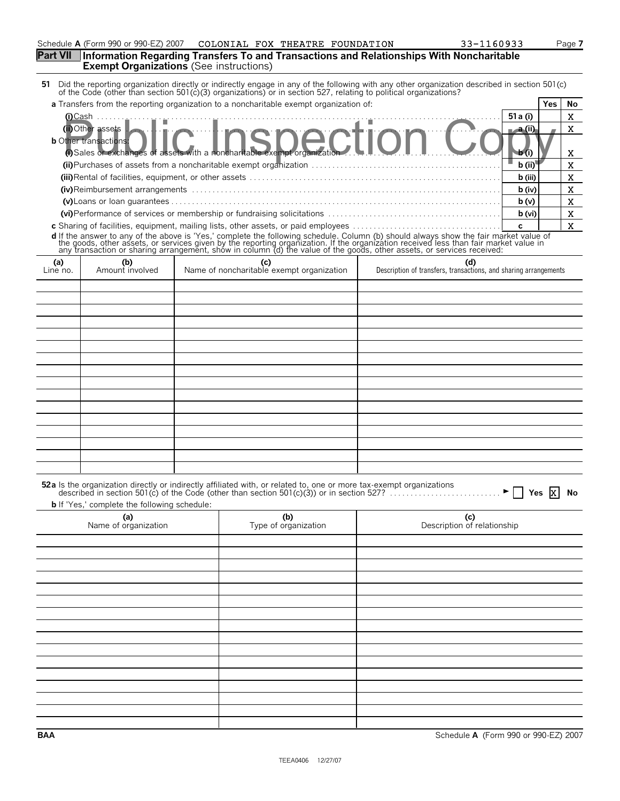|                 | <b>Exempt Organizations</b> (See instructions)      |                                                                                                                     | <b>Part VII</b> Information Regarding Transfers To and Transactions and Relationships With Noncharitable                                                                                                                            |            |             |
|-----------------|-----------------------------------------------------|---------------------------------------------------------------------------------------------------------------------|-------------------------------------------------------------------------------------------------------------------------------------------------------------------------------------------------------------------------------------|------------|-------------|
|                 |                                                     |                                                                                                                     | 51 Did the reporting organization directly or indirectly engage in any of the following with any other organization described in section 501(c) of the Code (other than section 501(c)(3) organizations) or in section 527, re      |            |             |
|                 |                                                     | a Transfers from the reporting organization to a noncharitable exempt organization of:                              |                                                                                                                                                                                                                                     | Yes        | No          |
|                 | $(i)$ Cash                                          |                                                                                                                     |                                                                                                                                                                                                                                     | 51 a (i)   | $\mathbf X$ |
|                 | (ii) Other assets                                   |                                                                                                                     |                                                                                                                                                                                                                                     | $-a$ (ii)  | $\mathbf X$ |
|                 | <b>b</b> Other transactions:                        | other transactions:<br>(i) Sales or exchanges of assets with a noncharitable exempt organization                    | on                                                                                                                                                                                                                                  |            |             |
|                 |                                                     |                                                                                                                     |                                                                                                                                                                                                                                     | b (i       | X           |
|                 |                                                     |                                                                                                                     |                                                                                                                                                                                                                                     | b (ii)     | X           |
|                 |                                                     |                                                                                                                     |                                                                                                                                                                                                                                     | b (iii)    | $\mathbf X$ |
|                 |                                                     |                                                                                                                     |                                                                                                                                                                                                                                     | b (iv)     | X           |
|                 |                                                     |                                                                                                                     |                                                                                                                                                                                                                                     | b(v)       | $\mathbf X$ |
|                 |                                                     |                                                                                                                     |                                                                                                                                                                                                                                     | b (vi)     | $\mathbf X$ |
|                 |                                                     |                                                                                                                     |                                                                                                                                                                                                                                     | c          | $\mathbf X$ |
|                 |                                                     |                                                                                                                     |                                                                                                                                                                                                                                     |            |             |
|                 |                                                     |                                                                                                                     | <b>d</b> If the answer to any of the above is 'Yes,' complete the following schedule. Column (b) should always show the fair market value of the goods, other assets, or services given by the reporting organization. If the organ |            |             |
| (a)<br>Line no. | (b)<br>Amount involved                              | (c)<br>Name of noncharitable exempt organization                                                                    | (d)<br>Description of transfers, transactions, and sharing arrangements                                                                                                                                                             |            |             |
|                 |                                                     |                                                                                                                     |                                                                                                                                                                                                                                     |            |             |
|                 |                                                     |                                                                                                                     |                                                                                                                                                                                                                                     |            |             |
|                 |                                                     |                                                                                                                     |                                                                                                                                                                                                                                     |            |             |
|                 |                                                     |                                                                                                                     |                                                                                                                                                                                                                                     |            |             |
|                 |                                                     |                                                                                                                     |                                                                                                                                                                                                                                     |            |             |
|                 |                                                     |                                                                                                                     |                                                                                                                                                                                                                                     |            |             |
|                 |                                                     |                                                                                                                     |                                                                                                                                                                                                                                     |            |             |
|                 |                                                     |                                                                                                                     |                                                                                                                                                                                                                                     |            |             |
|                 |                                                     |                                                                                                                     |                                                                                                                                                                                                                                     |            |             |
|                 |                                                     |                                                                                                                     |                                                                                                                                                                                                                                     |            |             |
|                 |                                                     |                                                                                                                     |                                                                                                                                                                                                                                     |            |             |
|                 |                                                     |                                                                                                                     |                                                                                                                                                                                                                                     |            |             |
|                 |                                                     |                                                                                                                     |                                                                                                                                                                                                                                     |            |             |
|                 |                                                     |                                                                                                                     |                                                                                                                                                                                                                                     |            |             |
|                 |                                                     |                                                                                                                     |                                                                                                                                                                                                                                     |            |             |
|                 |                                                     |                                                                                                                     |                                                                                                                                                                                                                                     |            |             |
|                 | <b>b</b> If 'Yes,' complete the following schedule: | 52a Is the organization directly or indirectly affiliated with, or related to, one or more tax-exempt organizations | described in section 501 $(c)$ of the Code (other than section 501 $(c)(3)$ ) or in section 527?                                                                                                                                    | Yes<br>-IX | No          |
|                 | (a)<br>Name of organization                         | (b)<br>Type of organization                                                                                         | (c)<br>Description of relationship                                                                                                                                                                                                  |            |             |
|                 |                                                     |                                                                                                                     |                                                                                                                                                                                                                                     |            |             |
|                 |                                                     |                                                                                                                     |                                                                                                                                                                                                                                     |            |             |
|                 |                                                     |                                                                                                                     |                                                                                                                                                                                                                                     |            |             |
|                 |                                                     |                                                                                                                     |                                                                                                                                                                                                                                     |            |             |
|                 |                                                     |                                                                                                                     |                                                                                                                                                                                                                                     |            |             |
|                 |                                                     |                                                                                                                     |                                                                                                                                                                                                                                     |            |             |
|                 |                                                     |                                                                                                                     |                                                                                                                                                                                                                                     |            |             |
|                 |                                                     |                                                                                                                     |                                                                                                                                                                                                                                     |            |             |
|                 |                                                     |                                                                                                                     |                                                                                                                                                                                                                                     |            |             |
|                 |                                                     |                                                                                                                     |                                                                                                                                                                                                                                     |            |             |
|                 |                                                     |                                                                                                                     |                                                                                                                                                                                                                                     |            |             |
|                 |                                                     |                                                                                                                     |                                                                                                                                                                                                                                     |            |             |

Schedule **A** (Form 990 or 990-EZ) 2007 COLONIAL FOX THEATRE FOUNDATION 33-1160933 Page **7** 

COLONIAL FOX THEATRE FOUNDATION 33-1160933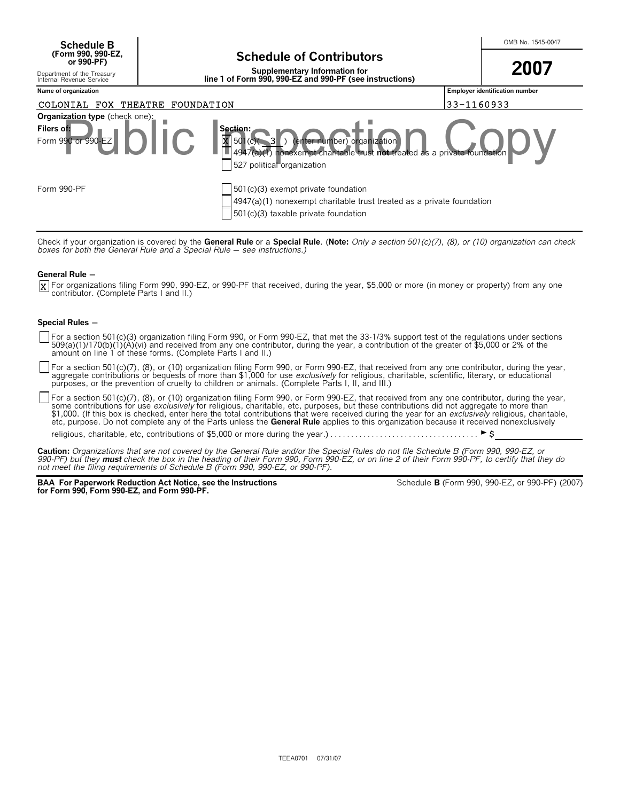**Schedule B** No. 1545-0047 **(Form 990, 990-EZ,**

**Supplementary Information for line 1 of Form 990, 990-EZ and 990-PF (see instructions)**

**2007**

**Name of organization Employer identification number**

Form 990 or 990-EZ  $\blacksquare$   $\blacksquare$   $\blacksquare$   $\blacksquare$   $\blacksquare$   $\blacksquare$   $\blacksquare$   $\blacksquare$   $\blacksquare$   $\blacksquare$   $\blacksquare$   $\blacksquare$   $\blacksquare$   $\blacksquare$   $\blacksquare$   $\blacksquare$   $\blacksquare$   $\blacksquare$   $\blacksquare$   $\blacksquare$   $\blacksquare$   $\blacksquare$   $\blacksquare$   $\blacksquare$   $\blacksquare$   $\blacksquare$   $\blacksquare$   $\blacksquare$   $\blacksquare$ 4947(a)(1) nonexempt charitable trust not treated as a privat 527 political organization Form 990-PF **Form 990-PF** 501(c)(3) exempt private foundation 4947(a)(1) nonexempt charitable trust treated as a private foundation 501(c)(3) taxable private foundation **Organization type** (check one) Filers of: **Section:** COLONIAL FOX THEATRE FOUNDATION 33-1160933 Section:<br>Public Inspection Copyright Copyright Copyright Control of Copyright Copyright Copyright Copyright Copyright C<br>Public Copyright Copyright Copyright Copyright Copyright Copyright Copyright Copyright Copyright Copyr

Check if your organization is covered by the **General Rule** or a **Special Rule. (Note:** *Only a section 501(c)(7), (8), or (10) organization can check*<br>*boxes for both the General Rule and a Special Rule — see instructions* 

#### **General Rule -**

For organizations filing Form 990, 990-EZ, or 990-PF that received, during the year, \$5,000 or more (in money or property) from any one X contributor. (Complete Parts I and II.)

#### **Special Rules -**

For a section 501(c)(3) organization filing Form 990, or Form 990-EZ, that met the 33-1/3% support test of the regulations under sections<br>509(a)(1)/170(b)(1)(A)(vi) and received from any one contributor, during the year, a

For a section 501(c)(7), (8), or (10) organization filing Form 990, or Form 990-EZ, that received from any one contributor, during the year, aggregate contributions or bequests of more than \$1,000 for use *exclusively* for religious, charitable, scientific, literary, or educational purposes, or the prevention of cruelty to children or animals. (Complete Parts I, II, and III.)

For a section 501(c)(7), (8), or (10) organization filing Form 990, or Form 990-EZ, that received from any one contributor, during the year, some contributions for use *exclusively* for religious, charitable, etc, purposes, but these contributions did not aggregate to more than<br>\$1,000. (If this box is checked, enter here the total contributions that were receiv etc, purpose. Do not complete any of the Parts unless the **General Rule** applies to this organization because it received nonexclusively

religious, charitable, etc, contributions of \$5,000 or more during the year.) . . . . . . . . . . . . . . . . . . . . . . . . . . . . . . . . . . . . G\$

**Caution:** *Organizations that are not covered by the General Rule and/or the Special Rules do not file Schedule B (Form 990, 990-EZ, or* 990-PF) but they **must** check the box in the heading of their Form 990, Form 990-EZ, or on line 2 of their Form 990-PF, to certify that they do<br>not meet the filing requirements of Schedule B (Form 990, 990-EZ, or 990-PF).

**BAA For Paperwork Reduction Act Notice, see the Instructions for Form 990, Form 990-EZ, and Form 990-PF.**

Schedule **B** (Form 990, 990-EZ, or 990-PF) (2007)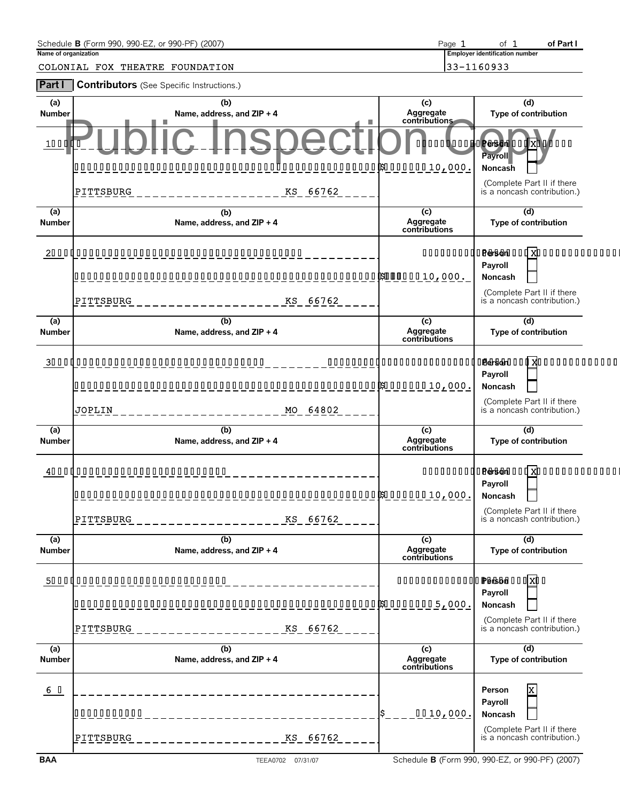| Name of organization | Schedule B (Form 990, 990-EZ, or 990-PF) (2007)  | Page 1                               | of Part I<br>of $1$<br><b>Employer identification number</b> |
|----------------------|--------------------------------------------------|--------------------------------------|--------------------------------------------------------------|
|                      | COLONIAL FOX THEATRE FOUNDATION                  |                                      | 33-1160933                                                   |
| <b>Part I</b>        | <b>Contributors</b> (See Specific Instructions.) |                                      |                                                              |
| (a)<br>Number        | (b)<br>Name, address, and ZIP + 4                | (c)<br>Aggregate<br>contributions    | (d)<br>Type of contribution                                  |
| <b>1ÁÁÁÁ</b>         |                                                  |                                      | <u>AAAAAAAAAAAAAAAAAXAAAAAA</u><br><b>Payroll</b>            |
|                      |                                                  |                                      | Noncash                                                      |
|                      | PITTSBURG<br>KS 66762                            |                                      | (Complete Part II if there<br>is a noncash contribution.)    |
| (a)<br><b>Number</b> | (b)<br>Name, address, and ZIP + 4                | (c)<br>Aggregate<br>contributions    | (d)<br>Type of contribution                                  |
|                      |                                                  |                                      | <u>AAAAAAAAAAAAAAAAAAAAAAAAAAAAAA</u>                        |
|                      |                                                  |                                      | Payroll<br><b>Noncash</b>                                    |
|                      | PITTSBURG<br>KS 66762                            |                                      | (Complete Part II if there<br>is a noncash contribution.)    |
| (a)<br><b>Number</b> | (b)<br>Name, address, and ZIP + 4                | (c)<br>Aggregate<br>contributions    | (d)<br>Type of contribution                                  |
|                      | 3 <b>ÁÁÁÁÁÁÁÁÁÁÁÁÁÁÁÁÁÁÁÁÁÁÁÁÁÁÁÁÁÁÁ</b> Á       |                                      |                                                              |
|                      |                                                  |                                      | Payroll<br><b>Noncash</b>                                    |
|                      | JOPLIN<br>MO 64802                               |                                      | (Complete Part II if there<br>is a noncash contribution.)    |
| (a)<br><b>Number</b> | (b)<br>Name, address, and ZIP + 4                | (c)<br>Aggregate<br>contributions    | (d)<br>Type of contribution                                  |
|                      |                                                  |                                      | <u>AAAAAAAAAAAAAAAAXAAAAAAAAAAAA</u>                         |
|                      |                                                  |                                      | Payroll<br><b>Noncash</b>                                    |
|                      | KS 66762<br> PITTSBURG                           |                                      | (Complete Part II if there<br>is a noncash contribution.)    |
| (a)<br>Number        | (b)<br>Name, address, and ZIP + 4                | (c)<br>Aggregate<br>contributions    | (d)<br>Type of contribution                                  |
|                      | 5 <b>ÁÁÁÁÁÁÁÁÁÁÁÁÁÁÁÁÁÁÁÁÁÁÁÁÁ</b> Á             | AAAAAAAAAAAA <b>AA&amp;AA</b> AAAXAA |                                                              |
|                      |                                                  |                                      | Payroll<br>Noncash                                           |
|                      | KS 66762<br> PITTSBURG                           |                                      | (Complete Part II if there<br>is a noncash contribution.)    |
| (a)<br>Number        | (b)<br>Name, address, and ZIP + 4                | (c)<br>Aggregate<br>contributions    | (d)<br>Type of contribution                                  |
| <u>6 Á</u>           |                                                  |                                      | $\overline{\mathbf{x}}$<br>Person                            |
|                      | AÁAAAAAAAA                                       | ÁÁ10,000.                            | Payroll<br>Noncash                                           |
|                      | KS 66762<br> PITTSBURG                           |                                      | (Complete Part II if there<br>is a noncash contribution.)    |
| <b>BAA</b>           | TEEA0702 07/31/07                                |                                      | Schedule B (Form 990, 990-EZ, or 990-PF) (2007)              |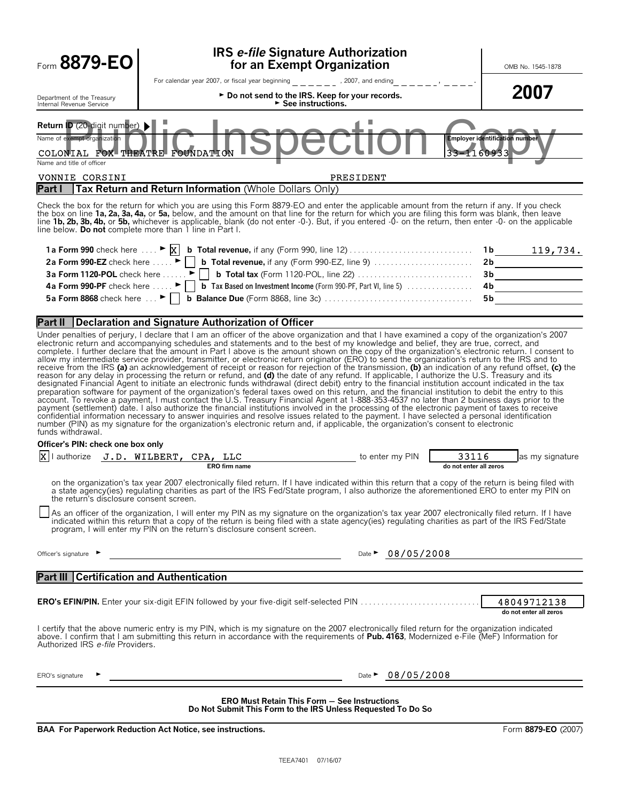| Form 8879-EO                                                                                                                                                                                                                                                                                                                      | OMB No. 1545-1878                                                                                                                                                                                                                                                                                                                                                                                                                                                                                                                                                                                                                                                                                                                                                                                                                                                                                                                                                                                                                                                                                                                                                                                                                                                                                                                                                                                                                                                                                                                                                                                                                                                                                                                                                                                          |                                       |  |  |  |  |  |  |
|-----------------------------------------------------------------------------------------------------------------------------------------------------------------------------------------------------------------------------------------------------------------------------------------------------------------------------------|------------------------------------------------------------------------------------------------------------------------------------------------------------------------------------------------------------------------------------------------------------------------------------------------------------------------------------------------------------------------------------------------------------------------------------------------------------------------------------------------------------------------------------------------------------------------------------------------------------------------------------------------------------------------------------------------------------------------------------------------------------------------------------------------------------------------------------------------------------------------------------------------------------------------------------------------------------------------------------------------------------------------------------------------------------------------------------------------------------------------------------------------------------------------------------------------------------------------------------------------------------------------------------------------------------------------------------------------------------------------------------------------------------------------------------------------------------------------------------------------------------------------------------------------------------------------------------------------------------------------------------------------------------------------------------------------------------------------------------------------------------------------------------------------------------|---------------------------------------|--|--|--|--|--|--|
| Department of the Treasury<br>Internal Revenue Service                                                                                                                                                                                                                                                                            | For calendar year 2007, or fiscal year beginning $\frac{1}{2}$ = $\frac{1}{2}$ = $\frac{1}{2}$ , 2007, and ending $\frac{1}{2}$ = $\frac{1}{2}$ = $\frac{1}{2}$ = $\frac{1}{2}$ = $\frac{1}{2}$ = $\frac{1}{2}$<br>► Do not send to the IRS. Keep for your records.<br>$\triangleright$ See instructions.                                                                                                                                                                                                                                                                                                                                                                                                                                                                                                                                                                                                                                                                                                                                                                                                                                                                                                                                                                                                                                                                                                                                                                                                                                                                                                                                                                                                                                                                                                  | 2007                                  |  |  |  |  |  |  |
| Return ID (20-digit number) ><br>Name of exempt organization<br><b>Employer identification number</b><br>COLONIAL FOX THEATRE FOUNDATION<br>33-1160933<br>Name and title of officer                                                                                                                                               |                                                                                                                                                                                                                                                                                                                                                                                                                                                                                                                                                                                                                                                                                                                                                                                                                                                                                                                                                                                                                                                                                                                                                                                                                                                                                                                                                                                                                                                                                                                                                                                                                                                                                                                                                                                                            |                                       |  |  |  |  |  |  |
| VONNIE CORSINI<br>Part I                                                                                                                                                                                                                                                                                                          | PRESIDENT<br>Tax Return and Return Information (Whole Dollars Only)                                                                                                                                                                                                                                                                                                                                                                                                                                                                                                                                                                                                                                                                                                                                                                                                                                                                                                                                                                                                                                                                                                                                                                                                                                                                                                                                                                                                                                                                                                                                                                                                                                                                                                                                        |                                       |  |  |  |  |  |  |
|                                                                                                                                                                                                                                                                                                                                   | Check the box for the return for which you are using this Form 8879-EO and enter the applicable amount from the return if any. If you check<br>the box on line 1a, 2a, 3a, 4a, or 5a, below, and the amount on that line for the return for which you are filing this form was blank, then leave<br>line 1b, 2b, 3b, 4b, or 5b, whichever is applicable, blank (do not enter -0-). But, if you entered -0- on the return, then enter -0- on the applicable<br>line below. Do not complete more than 1 line in Part I.                                                                                                                                                                                                                                                                                                                                                                                                                                                                                                                                                                                                                                                                                                                                                                                                                                                                                                                                                                                                                                                                                                                                                                                                                                                                                      |                                       |  |  |  |  |  |  |
| 3a Form 1120-POL check here $\ldots$ $\blacktriangleright$    <br>4a Form 990-PF check here $\dots$ , $\blacktriangleright$                                                                                                                                                                                                       | 2a Form 990-EZ check here  ►   b Total revenue, if any (Form 990-EZ, line 9)<br><b>b</b> Tax Based on Investment Income (Form 990-PF, Part VI, line 5)<br>5a Form 8868 check here $\ldots$     b Balance Due (Form 8868, line 3c) $\ldots$ $\ldots$ $\ldots$ $\ldots$ $\ldots$ $\ldots$ $\ldots$                                                                                                                                                                                                                                                                                                                                                                                                                                                                                                                                                                                                                                                                                                                                                                                                                                                                                                                                                                                                                                                                                                                                                                                                                                                                                                                                                                                                                                                                                                           | $2b$<br>$3b$<br>4b<br>5b              |  |  |  |  |  |  |
| <b>Part II</b>                                                                                                                                                                                                                                                                                                                    | Declaration and Signature Authorization of Officer                                                                                                                                                                                                                                                                                                                                                                                                                                                                                                                                                                                                                                                                                                                                                                                                                                                                                                                                                                                                                                                                                                                                                                                                                                                                                                                                                                                                                                                                                                                                                                                                                                                                                                                                                         |                                       |  |  |  |  |  |  |
| funds withdrawal.                                                                                                                                                                                                                                                                                                                 | Under penalties of perjury, I declare that I am an officer of the above organization and that I have examined a copy of the organization's 2007<br>electronic return and accompanying schedules and statements and to the best of my knowledge and belief, they are true, correct, and<br>complete. I further declare that the amount in Part I above is the amount shown on the copy of the organization's electronic return. I consent to<br>allow my intermediate service provider, transmitter, or electronic return originator (ERO) to send the organization's return to the IRS and to<br>receive from the IRS (a) an acknowledgement of receipt or reason for rejection of the transmission, (b) an indication of any refund offset, (c) the<br>reason for any delay in processing the return or refund, and (d) the date of any refund. If applicable, I authorize the U.S. Treasury and its<br>designated Financial Agent to initiate an electronic funds withdrawal (direct debit) entry to the financial institution account indicated in the tax<br>preparation software for payment of the organization's federal taxes owed on this return, and the financial institution to debit the entry to this<br>account. To revoke a payment, I must contact the U.S. Treasury Financial Agent at 1-888-353-4537 no later than 2 business days prior to the<br>payment (settlement) date. I also authorize the financial institutions involved in the processing of the electronic payment of taxes to receive<br>confidential information necessary to answer inquiries and resolve issues related to the payment. I have selected a personal identification<br>number (PIN) as my signature for the organization's electronic return and, if applicable, the organization's consent to electronic |                                       |  |  |  |  |  |  |
| Officer's PIN: check one box only                                                                                                                                                                                                                                                                                                 |                                                                                                                                                                                                                                                                                                                                                                                                                                                                                                                                                                                                                                                                                                                                                                                                                                                                                                                                                                                                                                                                                                                                                                                                                                                                                                                                                                                                                                                                                                                                                                                                                                                                                                                                                                                                            |                                       |  |  |  |  |  |  |
|                                                                                                                                                                                                                                                                                                                                   | I authorize J.D. WILBERT, CPA, LLC ________________________ to enter my PIN<br>33116<br>ERO firm name<br>do not enter all zeros                                                                                                                                                                                                                                                                                                                                                                                                                                                                                                                                                                                                                                                                                                                                                                                                                                                                                                                                                                                                                                                                                                                                                                                                                                                                                                                                                                                                                                                                                                                                                                                                                                                                            | as my signature                       |  |  |  |  |  |  |
| the return's disclosure consent screen.                                                                                                                                                                                                                                                                                           | on the organization's tax year 2007 electronically filed return. If I have indicated within this return that a copy of the return is being filed with<br>a state agency(ies) regulating charities as part of the IRS Fed/State program, I also authorize the aforementioned ERO to enter my PIN on                                                                                                                                                                                                                                                                                                                                                                                                                                                                                                                                                                                                                                                                                                                                                                                                                                                                                                                                                                                                                                                                                                                                                                                                                                                                                                                                                                                                                                                                                                         |                                       |  |  |  |  |  |  |
|                                                                                                                                                                                                                                                                                                                                   | As an officer of the organization, I will enter my PIN as my signature on the organization's tax year 2007 electronically filed return. If I have<br>indicated within this return that a copy of the return is being filed with a state agency(ies) regulating charities as part of the IRS Fed/State<br>program, I will enter my PIN on the return's disclosure consent screen.                                                                                                                                                                                                                                                                                                                                                                                                                                                                                                                                                                                                                                                                                                                                                                                                                                                                                                                                                                                                                                                                                                                                                                                                                                                                                                                                                                                                                           |                                       |  |  |  |  |  |  |
| Officer's signature ▶                                                                                                                                                                                                                                                                                                             | Date $\sim 08/05/2008$                                                                                                                                                                                                                                                                                                                                                                                                                                                                                                                                                                                                                                                                                                                                                                                                                                                                                                                                                                                                                                                                                                                                                                                                                                                                                                                                                                                                                                                                                                                                                                                                                                                                                                                                                                                     |                                       |  |  |  |  |  |  |
| <b>Part III   Certification and Authentication</b>                                                                                                                                                                                                                                                                                |                                                                                                                                                                                                                                                                                                                                                                                                                                                                                                                                                                                                                                                                                                                                                                                                                                                                                                                                                                                                                                                                                                                                                                                                                                                                                                                                                                                                                                                                                                                                                                                                                                                                                                                                                                                                            |                                       |  |  |  |  |  |  |
|                                                                                                                                                                                                                                                                                                                                   |                                                                                                                                                                                                                                                                                                                                                                                                                                                                                                                                                                                                                                                                                                                                                                                                                                                                                                                                                                                                                                                                                                                                                                                                                                                                                                                                                                                                                                                                                                                                                                                                                                                                                                                                                                                                            | 48049712138<br>do not enter all zeros |  |  |  |  |  |  |
| I certify that the above numeric entry is my PIN, which is my signature on the 2007 electronically filed return for the organization indicated<br>above. I confirm that I am submitting this return in accordance with the requirements of Pub. 4163, Modernized e-File (MeF) Information for<br>Authorized IRS e-file Providers. |                                                                                                                                                                                                                                                                                                                                                                                                                                                                                                                                                                                                                                                                                                                                                                                                                                                                                                                                                                                                                                                                                                                                                                                                                                                                                                                                                                                                                                                                                                                                                                                                                                                                                                                                                                                                            |                                       |  |  |  |  |  |  |
| ERO's signature                                                                                                                                                                                                                                                                                                                   | 08/05/2008<br>Date $\blacktriangleright$                                                                                                                                                                                                                                                                                                                                                                                                                                                                                                                                                                                                                                                                                                                                                                                                                                                                                                                                                                                                                                                                                                                                                                                                                                                                                                                                                                                                                                                                                                                                                                                                                                                                                                                                                                   |                                       |  |  |  |  |  |  |
| <b>ERO Must Retain This Form - See Instructions</b><br>Do Not Submit This Form to the IRS Unless Requested To Do So                                                                                                                                                                                                               |                                                                                                                                                                                                                                                                                                                                                                                                                                                                                                                                                                                                                                                                                                                                                                                                                                                                                                                                                                                                                                                                                                                                                                                                                                                                                                                                                                                                                                                                                                                                                                                                                                                                                                                                                                                                            |                                       |  |  |  |  |  |  |
|                                                                                                                                                                                                                                                                                                                                   | <b>BAA For Paperwork Reduction Act Notice, see instructions.</b>                                                                                                                                                                                                                                                                                                                                                                                                                                                                                                                                                                                                                                                                                                                                                                                                                                                                                                                                                                                                                                                                                                                                                                                                                                                                                                                                                                                                                                                                                                                                                                                                                                                                                                                                           | Form 8879-EO (2007)                   |  |  |  |  |  |  |